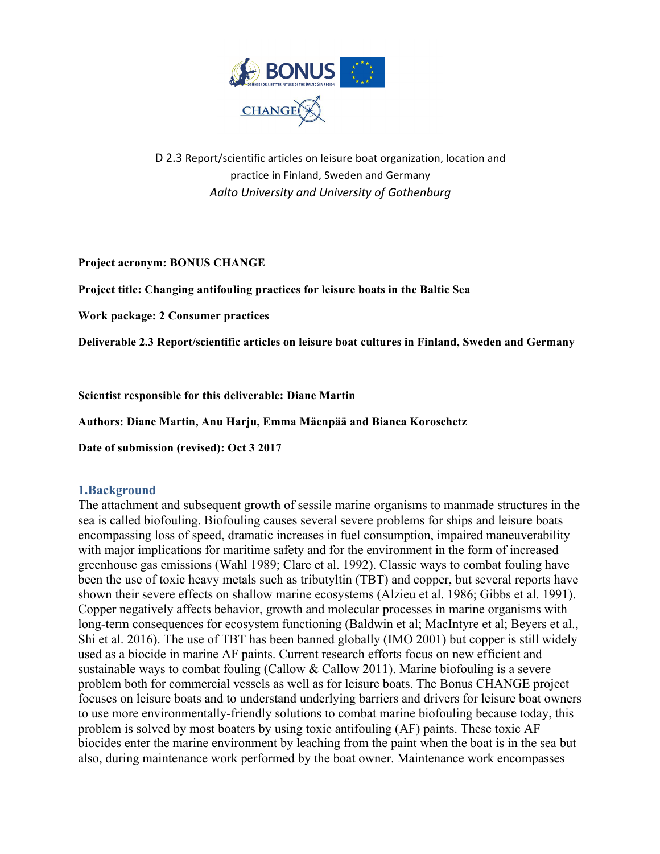

**Project acronym: BONUS CHANGE**

**Project title: Changing antifouling practices for leisure boats in the Baltic Sea**

**Work package: 2 Consumer practices**

**Deliverable 2.3 Report/scientific articles on leisure boat cultures in Finland, Sweden and Germany**

**Scientist responsible for this deliverable: Diane Martin**

**Authors: Diane Martin, Anu Harju, Emma Mäenpää and Bianca Koroschetz**

**Date of submission (revised): Oct 3 2017**

### **1.Background**

The attachment and subsequent growth of sessile marine organisms to manmade structures in the sea is called biofouling. Biofouling causes several severe problems for ships and leisure boats encompassing loss of speed, dramatic increases in fuel consumption, impaired maneuverability with major implications for maritime safety and for the environment in the form of increased greenhouse gas emissions (Wahl 1989; Clare et al. 1992). Classic ways to combat fouling have been the use of toxic heavy metals such as tributyltin (TBT) and copper, but several reports have shown their severe effects on shallow marine ecosystems (Alzieu et al. 1986; Gibbs et al. 1991). Copper negatively affects behavior, growth and molecular processes in marine organisms with long-term consequences for ecosystem functioning (Baldwin et al; MacIntyre et al; Beyers et al., Shi et al. 2016). The use of TBT has been banned globally (IMO 2001) but copper is still widely used as a biocide in marine AF paints. Current research efforts focus on new efficient and sustainable ways to combat fouling (Callow & Callow 2011). Marine biofouling is a severe problem both for commercial vessels as well as for leisure boats. The Bonus CHANGE project focuses on leisure boats and to understand underlying barriers and drivers for leisure boat owners to use more environmentally-friendly solutions to combat marine biofouling because today, this problem is solved by most boaters by using toxic antifouling (AF) paints. These toxic AF biocides enter the marine environment by leaching from the paint when the boat is in the sea but also, during maintenance work performed by the boat owner. Maintenance work encompasses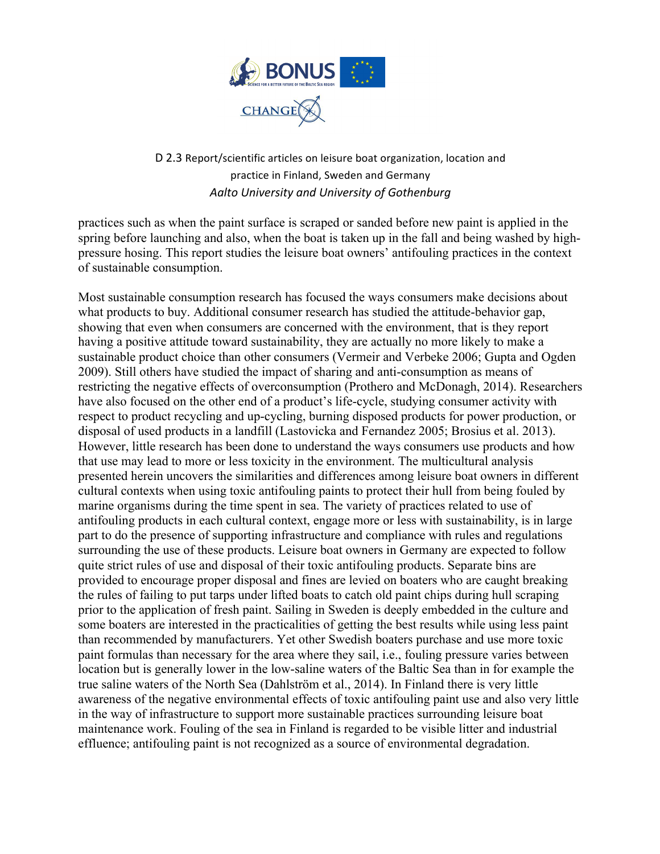

practices such as when the paint surface is scraped or sanded before new paint is applied in the spring before launching and also, when the boat is taken up in the fall and being washed by highpressure hosing. This report studies the leisure boat owners' antifouling practices in the context of sustainable consumption.

Most sustainable consumption research has focused the ways consumers make decisions about what products to buy. Additional consumer research has studied the attitude-behavior gap, showing that even when consumers are concerned with the environment, that is they report having a positive attitude toward sustainability, they are actually no more likely to make a sustainable product choice than other consumers (Vermeir and Verbeke 2006; Gupta and Ogden 2009). Still others have studied the impact of sharing and anti-consumption as means of restricting the negative effects of overconsumption (Prothero and McDonagh, 2014). Researchers have also focused on the other end of a product's life-cycle, studying consumer activity with respect to product recycling and up-cycling, burning disposed products for power production, or disposal of used products in a landfill (Lastovicka and Fernandez 2005; Brosius et al. 2013). However, little research has been done to understand the ways consumers use products and how that use may lead to more or less toxicity in the environment. The multicultural analysis presented herein uncovers the similarities and differences among leisure boat owners in different cultural contexts when using toxic antifouling paints to protect their hull from being fouled by marine organisms during the time spent in sea. The variety of practices related to use of antifouling products in each cultural context, engage more or less with sustainability, is in large part to do the presence of supporting infrastructure and compliance with rules and regulations surrounding the use of these products. Leisure boat owners in Germany are expected to follow quite strict rules of use and disposal of their toxic antifouling products. Separate bins are provided to encourage proper disposal and fines are levied on boaters who are caught breaking the rules of failing to put tarps under lifted boats to catch old paint chips during hull scraping prior to the application of fresh paint. Sailing in Sweden is deeply embedded in the culture and some boaters are interested in the practicalities of getting the best results while using less paint than recommended by manufacturers. Yet other Swedish boaters purchase and use more toxic paint formulas than necessary for the area where they sail, i.e., fouling pressure varies between location but is generally lower in the low-saline waters of the Baltic Sea than in for example the true saline waters of the North Sea (Dahlström et al., 2014). In Finland there is very little awareness of the negative environmental effects of toxic antifouling paint use and also very little in the way of infrastructure to support more sustainable practices surrounding leisure boat maintenance work. Fouling of the sea in Finland is regarded to be visible litter and industrial effluence; antifouling paint is not recognized as a source of environmental degradation.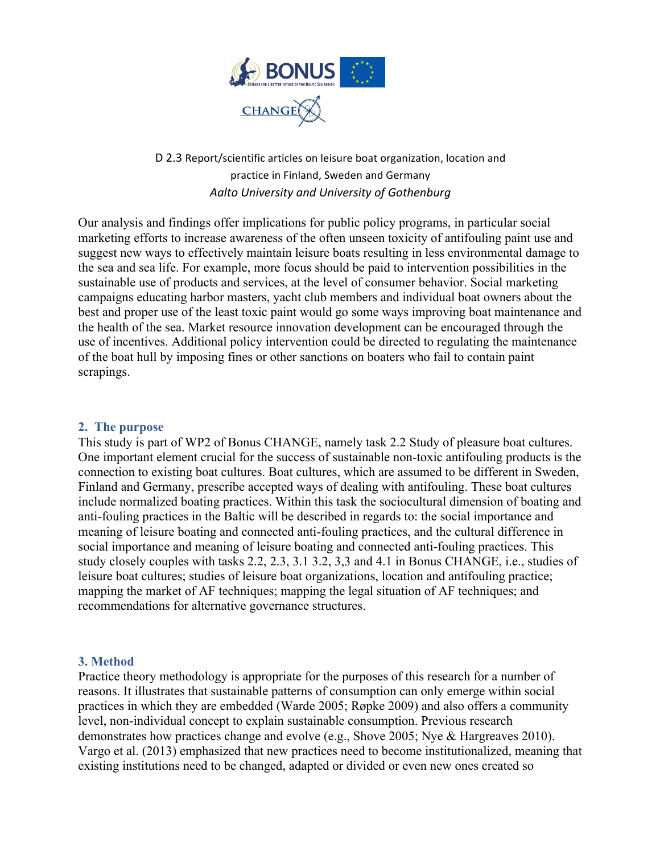

Our analysis and findings offer implications for public policy programs, in particular social marketing efforts to increase awareness of the often unseen toxicity of antifouling paint use and suggest new ways to effectively maintain leisure boats resulting in less environmental damage to the sea and sea life. For example, more focus should be paid to intervention possibilities in the sustainable use of products and services, at the level of consumer behavior. Social marketing campaigns educating harbor masters, yacht club members and individual boat owners about the best and proper use of the least toxic paint would go some ways improving boat maintenance and the health of the sea. Market resource innovation development can be encouraged through the use of incentives. Additional policy intervention could be directed to regulating the maintenance of the boat hull by imposing fines or other sanctions on boaters who fail to contain paint scrapings.

### **2. The purpose**

This study is part of WP2 of Bonus CHANGE, namely task 2.2 Study of pleasure boat cultures. One important element crucial for the success of sustainable non-toxic antifouling products is the connection to existing boat cultures. Boat cultures, which are assumed to be different in Sweden, Finland and Germany, prescribe accepted ways of dealing with antifouling. These boat cultures include normalized boating practices. Within this task the sociocultural dimension of boating and anti-fouling practices in the Baltic will be described in regards to: the social importance and meaning of leisure boating and connected anti-fouling practices, and the cultural difference in social importance and meaning of leisure boating and connected anti-fouling practices. This study closely couples with tasks 2.2, 2.3, 3.1 3.2, 3,3 and 4.1 in Bonus CHANGE, i.e., studies of leisure boat cultures; studies of leisure boat organizations, location and antifouling practice; mapping the market of AF techniques; mapping the legal situation of AF techniques; and recommendations for alternative governance structures.

## **3. Method**

Practice theory methodology is appropriate for the purposes of this research for a number of reasons. It illustrates that sustainable patterns of consumption can only emerge within social practices in which they are embedded (Warde 2005; Røpke 2009) and also offers a community level, non-individual concept to explain sustainable consumption. Previous research demonstrates how practices change and evolve (e.g., Shove 2005; Nye & Hargreaves 2010). Vargo et al. (2013) emphasized that new practices need to become institutionalized, meaning that existing institutions need to be changed, adapted or divided or even new ones created so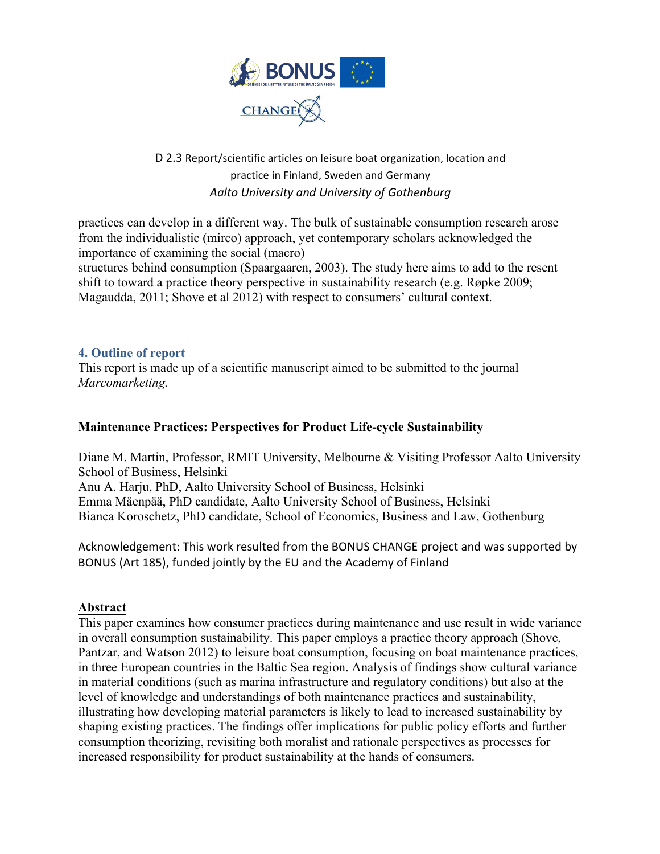

practices can develop in a different way. The bulk of sustainable consumption research arose from the individualistic (mirco) approach, yet contemporary scholars acknowledged the importance of examining the social (macro)

structures behind consumption (Spaargaaren, 2003). The study here aims to add to the resent shift to toward a practice theory perspective in sustainability research (e.g. Røpke 2009; Magaudda, 2011; Shove et al 2012) with respect to consumers' cultural context.

## **4. Outline of report**

This report is made up of a scientific manuscript aimed to be submitted to the journal *Marcomarketing.* 

## **Maintenance Practices: Perspectives for Product Life-cycle Sustainability**

Diane M. Martin, Professor, RMIT University, Melbourne & Visiting Professor Aalto University School of Business, Helsinki Anu A. Harju, PhD, Aalto University School of Business, Helsinki Emma Mäenpää, PhD candidate, Aalto University School of Business, Helsinki Bianca Koroschetz, PhD candidate, School of Economics, Business and Law, Gothenburg

Acknowledgement: This work resulted from the BONUS CHANGE project and was supported by BONUS (Art 185), funded jointly by the EU and the Academy of Finland

## **Abstract**

This paper examines how consumer practices during maintenance and use result in wide variance in overall consumption sustainability. This paper employs a practice theory approach (Shove, Pantzar, and Watson 2012) to leisure boat consumption, focusing on boat maintenance practices, in three European countries in the Baltic Sea region. Analysis of findings show cultural variance in material conditions (such as marina infrastructure and regulatory conditions) but also at the level of knowledge and understandings of both maintenance practices and sustainability, illustrating how developing material parameters is likely to lead to increased sustainability by shaping existing practices. The findings offer implications for public policy efforts and further consumption theorizing, revisiting both moralist and rationale perspectives as processes for increased responsibility for product sustainability at the hands of consumers.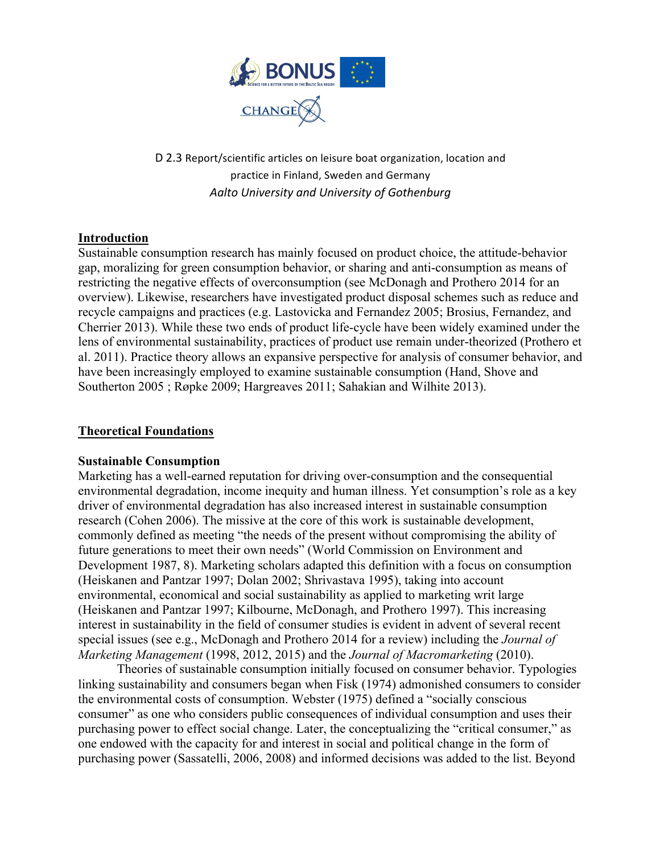

## **Introduction**

Sustainable consumption research has mainly focused on product choice, the attitude-behavior gap, moralizing for green consumption behavior, or sharing and anti-consumption as means of restricting the negative effects of overconsumption (see McDonagh and Prothero 2014 for an overview). Likewise, researchers have investigated product disposal schemes such as reduce and recycle campaigns and practices (e.g. Lastovicka and Fernandez 2005; Brosius, Fernandez, and Cherrier 2013). While these two ends of product life-cycle have been widely examined under the lens of environmental sustainability, practices of product use remain under-theorized (Prothero et al. 2011). Practice theory allows an expansive perspective for analysis of consumer behavior, and have been increasingly employed to examine sustainable consumption (Hand, Shove and Southerton 2005 ; Røpke 2009; Hargreaves 2011; Sahakian and Wilhite 2013).

### **Theoretical Foundations**

### **Sustainable Consumption**

Marketing has a well-earned reputation for driving over-consumption and the consequential environmental degradation, income inequity and human illness. Yet consumption's role as a key driver of environmental degradation has also increased interest in sustainable consumption research (Cohen 2006). The missive at the core of this work is sustainable development, commonly defined as meeting "the needs of the present without compromising the ability of future generations to meet their own needs" (World Commission on Environment and Development 1987, 8). Marketing scholars adapted this definition with a focus on consumption (Heiskanen and Pantzar 1997; Dolan 2002; Shrivastava 1995), taking into account environmental, economical and social sustainability as applied to marketing writ large (Heiskanen and Pantzar 1997; Kilbourne, McDonagh, and Prothero 1997). This increasing interest in sustainability in the field of consumer studies is evident in advent of several recent special issues (see e.g., McDonagh and Prothero 2014 for a review) including the *Journal of Marketing Management* (1998, 2012, 2015) and the *Journal of Macromarketing* (2010).

Theories of sustainable consumption initially focused on consumer behavior. Typologies linking sustainability and consumers began when Fisk (1974) admonished consumers to consider the environmental costs of consumption. Webster (1975) defined a "socially conscious consumer" as one who considers public consequences of individual consumption and uses their purchasing power to effect social change. Later, the conceptualizing the "critical consumer," as one endowed with the capacity for and interest in social and political change in the form of purchasing power (Sassatelli, 2006, 2008) and informed decisions was added to the list. Beyond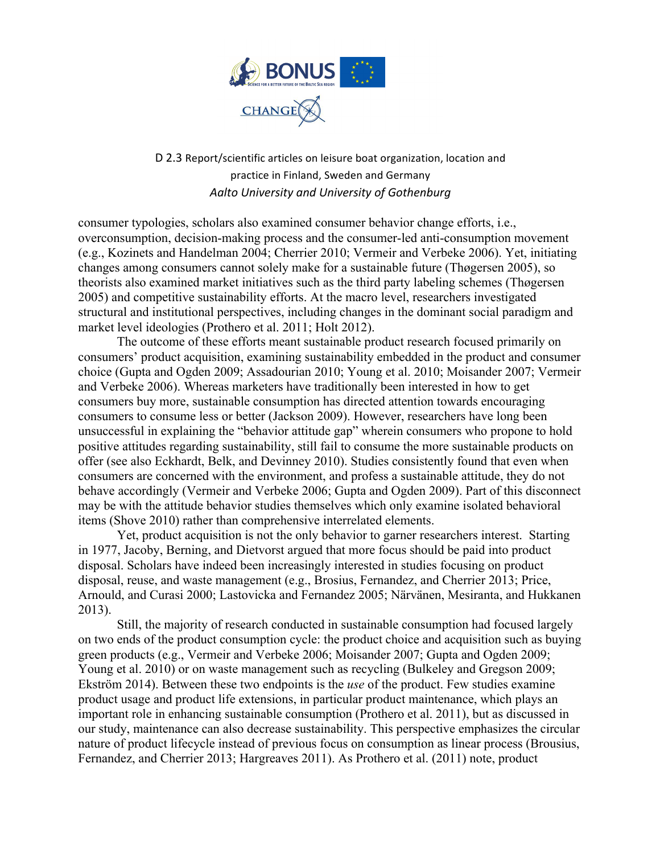

consumer typologies, scholars also examined consumer behavior change efforts, i.e., overconsumption, decision-making process and the consumer-led anti-consumption movement (e.g., Kozinets and Handelman 2004; Cherrier 2010; Vermeir and Verbeke 2006). Yet, initiating changes among consumers cannot solely make for a sustainable future (Thøgersen 2005), so theorists also examined market initiatives such as the third party labeling schemes (Thøgersen 2005) and competitive sustainability efforts. At the macro level, researchers investigated structural and institutional perspectives, including changes in the dominant social paradigm and market level ideologies (Prothero et al. 2011; Holt 2012).

The outcome of these efforts meant sustainable product research focused primarily on consumers' product acquisition, examining sustainability embedded in the product and consumer choice (Gupta and Ogden 2009; Assadourian 2010; Young et al. 2010; Moisander 2007; Vermeir and Verbeke 2006). Whereas marketers have traditionally been interested in how to get consumers buy more, sustainable consumption has directed attention towards encouraging consumers to consume less or better (Jackson 2009). However, researchers have long been unsuccessful in explaining the "behavior attitude gap" wherein consumers who propone to hold positive attitudes regarding sustainability, still fail to consume the more sustainable products on offer (see also Eckhardt, Belk, and Devinney 2010). Studies consistently found that even when consumers are concerned with the environment, and profess a sustainable attitude, they do not behave accordingly (Vermeir and Verbeke 2006; Gupta and Ogden 2009). Part of this disconnect may be with the attitude behavior studies themselves which only examine isolated behavioral items (Shove 2010) rather than comprehensive interrelated elements.

Yet, product acquisition is not the only behavior to garner researchers interest. Starting in 1977, Jacoby, Berning, and Dietvorst argued that more focus should be paid into product disposal. Scholars have indeed been increasingly interested in studies focusing on product disposal, reuse, and waste management (e.g., Brosius, Fernandez, and Cherrier 2013; Price, Arnould, and Curasi 2000; Lastovicka and Fernandez 2005; Närvänen, Mesiranta, and Hukkanen 2013).

Still, the majority of research conducted in sustainable consumption had focused largely on two ends of the product consumption cycle: the product choice and acquisition such as buying green products (e.g., Vermeir and Verbeke 2006; Moisander 2007; Gupta and Ogden 2009; Young et al. 2010) or on waste management such as recycling (Bulkeley and Gregson 2009; Ekström 2014). Between these two endpoints is the *use* of the product. Few studies examine product usage and product life extensions, in particular product maintenance, which plays an important role in enhancing sustainable consumption (Prothero et al. 2011), but as discussed in our study, maintenance can also decrease sustainability. This perspective emphasizes the circular nature of product lifecycle instead of previous focus on consumption as linear process (Brousius, Fernandez, and Cherrier 2013; Hargreaves 2011). As Prothero et al. (2011) note, product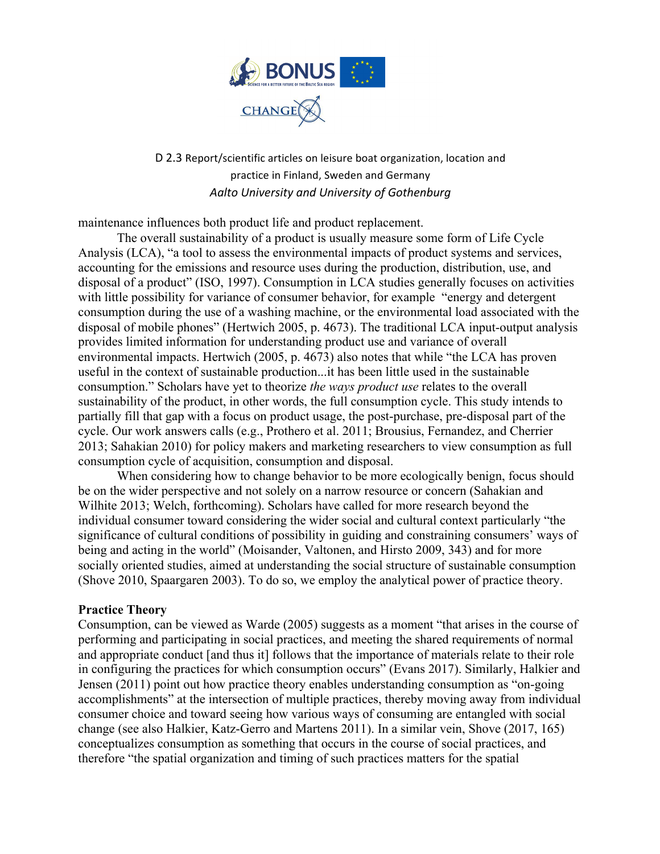

maintenance influences both product life and product replacement.

The overall sustainability of a product is usually measure some form of Life Cycle Analysis (LCA), "a tool to assess the environmental impacts of product systems and services, accounting for the emissions and resource uses during the production, distribution, use, and disposal of a product" (ISO, 1997). Consumption in LCA studies generally focuses on activities with little possibility for variance of consumer behavior, for example "energy and detergent consumption during the use of a washing machine, or the environmental load associated with the disposal of mobile phones" (Hertwich 2005, p. 4673). The traditional LCA input-output analysis provides limited information for understanding product use and variance of overall environmental impacts. Hertwich (2005, p. 4673) also notes that while "the LCA has proven useful in the context of sustainable production...it has been little used in the sustainable consumption." Scholars have yet to theorize *the ways product use* relates to the overall sustainability of the product, in other words, the full consumption cycle. This study intends to partially fill that gap with a focus on product usage, the post-purchase, pre-disposal part of the cycle. Our work answers calls (e.g., Prothero et al. 2011; Brousius, Fernandez, and Cherrier 2013; Sahakian 2010) for policy makers and marketing researchers to view consumption as full consumption cycle of acquisition, consumption and disposal.

When considering how to change behavior to be more ecologically benign, focus should be on the wider perspective and not solely on a narrow resource or concern (Sahakian and Wilhite 2013; Welch, forthcoming). Scholars have called for more research beyond the individual consumer toward considering the wider social and cultural context particularly "the significance of cultural conditions of possibility in guiding and constraining consumers' ways of being and acting in the world" (Moisander, Valtonen, and Hirsto 2009, 343) and for more socially oriented studies, aimed at understanding the social structure of sustainable consumption (Shove 2010, Spaargaren 2003). To do so, we employ the analytical power of practice theory.

### **Practice Theory**

Consumption, can be viewed as Warde (2005) suggests as a moment "that arises in the course of performing and participating in social practices, and meeting the shared requirements of normal and appropriate conduct [and thus it] follows that the importance of materials relate to their role in configuring the practices for which consumption occurs" (Evans 2017). Similarly, Halkier and Jensen (2011) point out how practice theory enables understanding consumption as "on-going accomplishments" at the intersection of multiple practices, thereby moving away from individual consumer choice and toward seeing how various ways of consuming are entangled with social change (see also Halkier, Katz-Gerro and Martens 2011). In a similar vein, Shove (2017, 165) conceptualizes consumption as something that occurs in the course of social practices, and therefore "the spatial organization and timing of such practices matters for the spatial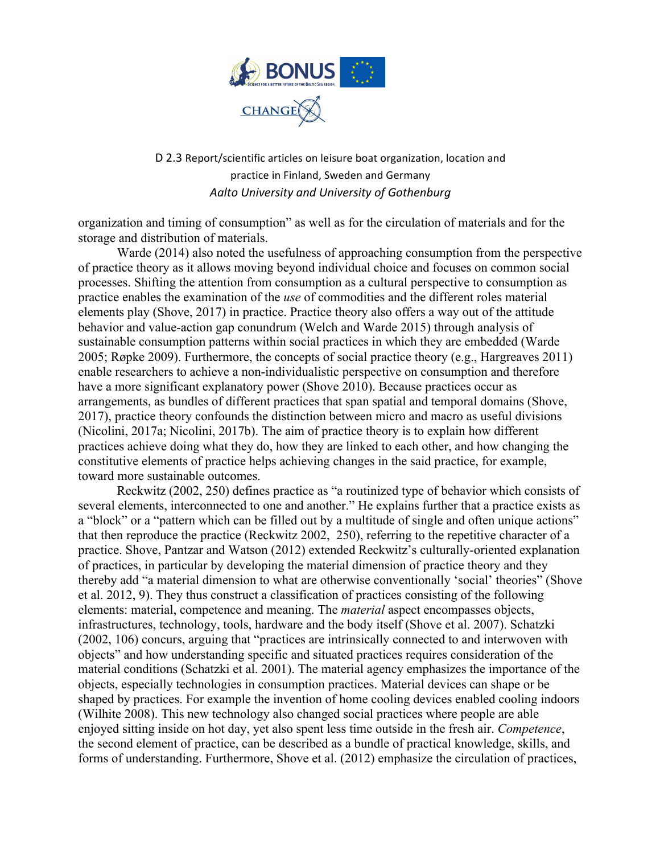

organization and timing of consumption" as well as for the circulation of materials and for the storage and distribution of materials.

Warde (2014) also noted the usefulness of approaching consumption from the perspective of practice theory as it allows moving beyond individual choice and focuses on common social processes. Shifting the attention from consumption as a cultural perspective to consumption as practice enables the examination of the *use* of commodities and the different roles material elements play (Shove, 2017) in practice. Practice theory also offers a way out of the attitude behavior and value-action gap conundrum (Welch and Warde 2015) through analysis of sustainable consumption patterns within social practices in which they are embedded (Warde 2005; Røpke 2009). Furthermore, the concepts of social practice theory (e.g., Hargreaves 2011) enable researchers to achieve a non-individualistic perspective on consumption and therefore have a more significant explanatory power (Shove 2010). Because practices occur as arrangements, as bundles of different practices that span spatial and temporal domains (Shove, 2017), practice theory confounds the distinction between micro and macro as useful divisions (Nicolini, 2017a; Nicolini, 2017b). The aim of practice theory is to explain how different practices achieve doing what they do, how they are linked to each other, and how changing the constitutive elements of practice helps achieving changes in the said practice, for example, toward more sustainable outcomes.

Reckwitz (2002, 250) defines practice as "a routinized type of behavior which consists of several elements, interconnected to one and another." He explains further that a practice exists as a "block" or a "pattern which can be filled out by a multitude of single and often unique actions" that then reproduce the practice (Reckwitz 2002, 250), referring to the repetitive character of a practice. Shove, Pantzar and Watson (2012) extended Reckwitz's culturally-oriented explanation of practices, in particular by developing the material dimension of practice theory and they thereby add "a material dimension to what are otherwise conventionally 'social' theories" (Shove et al. 2012, 9). They thus construct a classification of practices consisting of the following elements: material, competence and meaning. The *material* aspect encompasses objects, infrastructures, technology, tools, hardware and the body itself (Shove et al. 2007). Schatzki (2002, 106) concurs, arguing that "practices are intrinsically connected to and interwoven with objects" and how understanding specific and situated practices requires consideration of the material conditions (Schatzki et al. 2001). The material agency emphasizes the importance of the objects, especially technologies in consumption practices. Material devices can shape or be shaped by practices. For example the invention of home cooling devices enabled cooling indoors (Wilhite 2008). This new technology also changed social practices where people are able enjoyed sitting inside on hot day, yet also spent less time outside in the fresh air. *Competence*, the second element of practice, can be described as a bundle of practical knowledge, skills, and forms of understanding. Furthermore, Shove et al. (2012) emphasize the circulation of practices,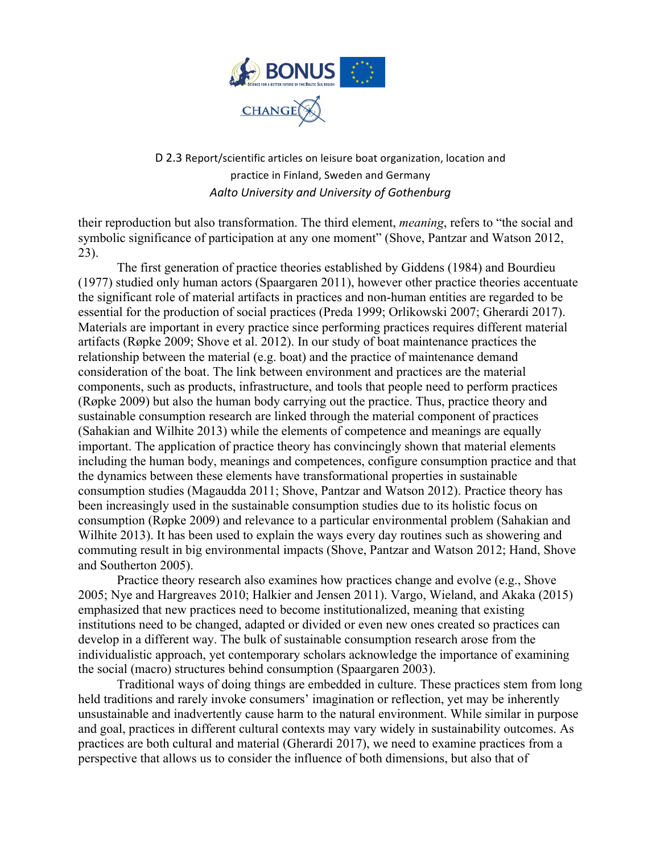

their reproduction but also transformation. The third element, *meaning*, refers to "the social and symbolic significance of participation at any one moment" (Shove, Pantzar and Watson 2012, 23).

The first generation of practice theories established by Giddens (1984) and Bourdieu (1977) studied only human actors (Spaargaren 2011), however other practice theories accentuate the significant role of material artifacts in practices and non-human entities are regarded to be essential for the production of social practices (Preda 1999; Orlikowski 2007; Gherardi 2017). Materials are important in every practice since performing practices requires different material artifacts (Røpke 2009; Shove et al. 2012). In our study of boat maintenance practices the relationship between the material (e.g. boat) and the practice of maintenance demand consideration of the boat. The link between environment and practices are the material components, such as products, infrastructure, and tools that people need to perform practices (Røpke 2009) but also the human body carrying out the practice. Thus, practice theory and sustainable consumption research are linked through the material component of practices (Sahakian and Wilhite 2013) while the elements of competence and meanings are equally important. The application of practice theory has convincingly shown that material elements including the human body, meanings and competences, configure consumption practice and that the dynamics between these elements have transformational properties in sustainable consumption studies (Magaudda 2011; Shove, Pantzar and Watson 2012). Practice theory has been increasingly used in the sustainable consumption studies due to its holistic focus on consumption (Røpke 2009) and relevance to a particular environmental problem (Sahakian and Wilhite 2013). It has been used to explain the ways every day routines such as showering and commuting result in big environmental impacts (Shove, Pantzar and Watson 2012; Hand, Shove and Southerton 2005).

Practice theory research also examines how practices change and evolve (e.g., Shove 2005; Nye and Hargreaves 2010; Halkier and Jensen 2011). Vargo, Wieland, and Akaka (2015) emphasized that new practices need to become institutionalized, meaning that existing institutions need to be changed, adapted or divided or even new ones created so practices can develop in a different way. The bulk of sustainable consumption research arose from the individualistic approach, yet contemporary scholars acknowledge the importance of examining the social (macro) structures behind consumption (Spaargaren 2003).

Traditional ways of doing things are embedded in culture. These practices stem from long held traditions and rarely invoke consumers' imagination or reflection, yet may be inherently unsustainable and inadvertently cause harm to the natural environment. While similar in purpose and goal, practices in different cultural contexts may vary widely in sustainability outcomes. As practices are both cultural and material (Gherardi 2017), we need to examine practices from a perspective that allows us to consider the influence of both dimensions, but also that of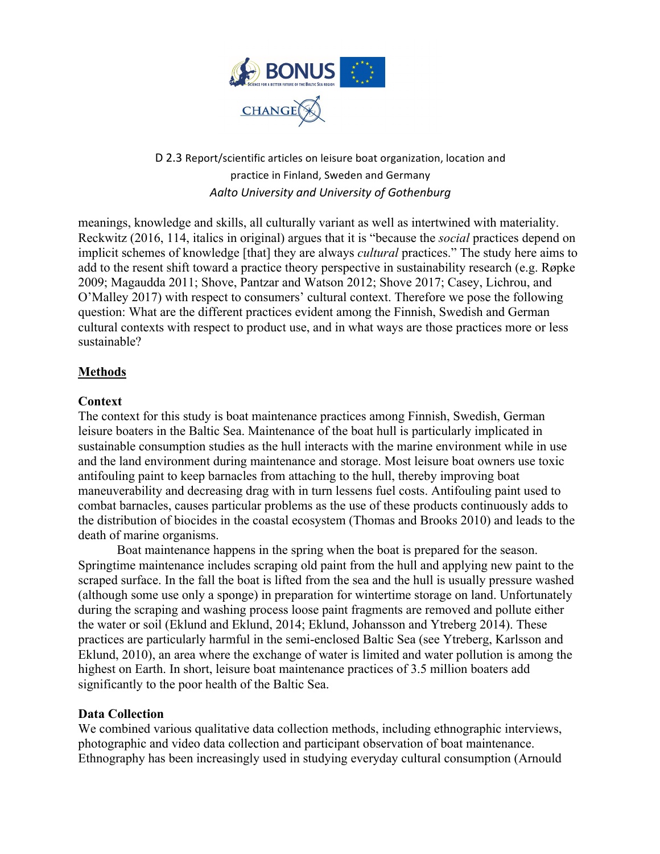

meanings, knowledge and skills, all culturally variant as well as intertwined with materiality. Reckwitz (2016, 114, italics in original) argues that it is "because the *social* practices depend on implicit schemes of knowledge [that] they are always *cultural* practices." The study here aims to add to the resent shift toward a practice theory perspective in sustainability research (e.g. Røpke 2009; Magaudda 2011; Shove, Pantzar and Watson 2012; Shove 2017; Casey, Lichrou, and O'Malley 2017) with respect to consumers' cultural context. Therefore we pose the following question: What are the different practices evident among the Finnish, Swedish and German cultural contexts with respect to product use, and in what ways are those practices more or less sustainable?

## **Methods**

### **Context**

The context for this study is boat maintenance practices among Finnish, Swedish, German leisure boaters in the Baltic Sea. Maintenance of the boat hull is particularly implicated in sustainable consumption studies as the hull interacts with the marine environment while in use and the land environment during maintenance and storage. Most leisure boat owners use toxic antifouling paint to keep barnacles from attaching to the hull, thereby improving boat maneuverability and decreasing drag with in turn lessens fuel costs. Antifouling paint used to combat barnacles, causes particular problems as the use of these products continuously adds to the distribution of biocides in the coastal ecosystem (Thomas and Brooks 2010) and leads to the death of marine organisms.

Boat maintenance happens in the spring when the boat is prepared for the season. Springtime maintenance includes scraping old paint from the hull and applying new paint to the scraped surface. In the fall the boat is lifted from the sea and the hull is usually pressure washed (although some use only a sponge) in preparation for wintertime storage on land. Unfortunately during the scraping and washing process loose paint fragments are removed and pollute either the water or soil (Eklund and Eklund, 2014; Eklund, Johansson and Ytreberg 2014). These practices are particularly harmful in the semi-enclosed Baltic Sea (see Ytreberg, Karlsson and Eklund, 2010), an area where the exchange of water is limited and water pollution is among the highest on Earth. In short, leisure boat maintenance practices of 3.5 million boaters add significantly to the poor health of the Baltic Sea.

### **Data Collection**

We combined various qualitative data collection methods, including ethnographic interviews, photographic and video data collection and participant observation of boat maintenance. Ethnography has been increasingly used in studying everyday cultural consumption (Arnould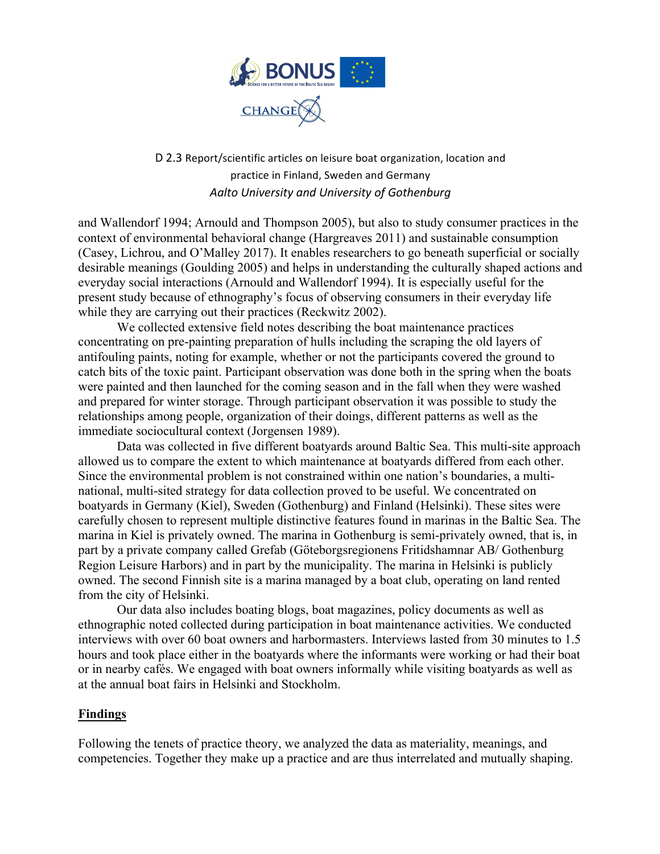

and Wallendorf 1994; Arnould and Thompson 2005), but also to study consumer practices in the context of environmental behavioral change (Hargreaves 2011) and sustainable consumption (Casey, Lichrou, and O'Malley 2017). It enables researchers to go beneath superficial or socially desirable meanings (Goulding 2005) and helps in understanding the culturally shaped actions and everyday social interactions (Arnould and Wallendorf 1994). It is especially useful for the present study because of ethnography's focus of observing consumers in their everyday life while they are carrying out their practices (Reckwitz 2002).

We collected extensive field notes describing the boat maintenance practices concentrating on pre-painting preparation of hulls including the scraping the old layers of antifouling paints, noting for example, whether or not the participants covered the ground to catch bits of the toxic paint. Participant observation was done both in the spring when the boats were painted and then launched for the coming season and in the fall when they were washed and prepared for winter storage. Through participant observation it was possible to study the relationships among people, organization of their doings, different patterns as well as the immediate sociocultural context (Jorgensen 1989).

Data was collected in five different boatyards around Baltic Sea. This multi-site approach allowed us to compare the extent to which maintenance at boatyards differed from each other. Since the environmental problem is not constrained within one nation's boundaries, a multinational, multi-sited strategy for data collection proved to be useful. We concentrated on boatyards in Germany (Kiel), Sweden (Gothenburg) and Finland (Helsinki). These sites were carefully chosen to represent multiple distinctive features found in marinas in the Baltic Sea. The marina in Kiel is privately owned. The marina in Gothenburg is semi-privately owned, that is, in part by a private company called Grefab (Göteborgsregionens Fritidshamnar AB/ Gothenburg Region Leisure Harbors) and in part by the municipality. The marina in Helsinki is publicly owned. The second Finnish site is a marina managed by a boat club, operating on land rented from the city of Helsinki.

Our data also includes boating blogs, boat magazines, policy documents as well as ethnographic noted collected during participation in boat maintenance activities. We conducted interviews with over 60 boat owners and harbormasters. Interviews lasted from 30 minutes to 1.5 hours and took place either in the boatyards where the informants were working or had their boat or in nearby cafés. We engaged with boat owners informally while visiting boatyards as well as at the annual boat fairs in Helsinki and Stockholm.

### **Findings**

Following the tenets of practice theory, we analyzed the data as materiality, meanings, and competencies. Together they make up a practice and are thus interrelated and mutually shaping.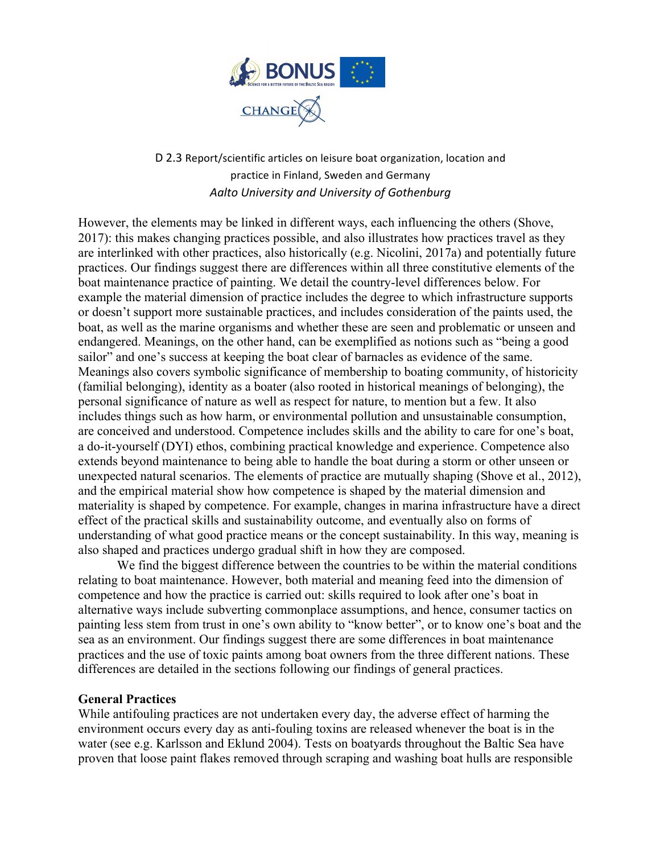

However, the elements may be linked in different ways, each influencing the others (Shove, 2017): this makes changing practices possible, and also illustrates how practices travel as they are interlinked with other practices, also historically (e.g. Nicolini, 2017a) and potentially future practices. Our findings suggest there are differences within all three constitutive elements of the boat maintenance practice of painting. We detail the country-level differences below. For example the material dimension of practice includes the degree to which infrastructure supports or doesn't support more sustainable practices, and includes consideration of the paints used, the boat, as well as the marine organisms and whether these are seen and problematic or unseen and endangered. Meanings, on the other hand, can be exemplified as notions such as "being a good sailor" and one's success at keeping the boat clear of barnacles as evidence of the same. Meanings also covers symbolic significance of membership to boating community, of historicity (familial belonging), identity as a boater (also rooted in historical meanings of belonging), the personal significance of nature as well as respect for nature, to mention but a few. It also includes things such as how harm, or environmental pollution and unsustainable consumption, are conceived and understood. Competence includes skills and the ability to care for one's boat, a do-it-yourself (DYI) ethos, combining practical knowledge and experience. Competence also extends beyond maintenance to being able to handle the boat during a storm or other unseen or unexpected natural scenarios. The elements of practice are mutually shaping (Shove et al., 2012), and the empirical material show how competence is shaped by the material dimension and materiality is shaped by competence. For example, changes in marina infrastructure have a direct effect of the practical skills and sustainability outcome, and eventually also on forms of understanding of what good practice means or the concept sustainability. In this way, meaning is also shaped and practices undergo gradual shift in how they are composed.

We find the biggest difference between the countries to be within the material conditions relating to boat maintenance. However, both material and meaning feed into the dimension of competence and how the practice is carried out: skills required to look after one's boat in alternative ways include subverting commonplace assumptions, and hence, consumer tactics on painting less stem from trust in one's own ability to "know better", or to know one's boat and the sea as an environment. Our findings suggest there are some differences in boat maintenance practices and the use of toxic paints among boat owners from the three different nations. These differences are detailed in the sections following our findings of general practices.

### **General Practices**

While antifouling practices are not undertaken every day, the adverse effect of harming the environment occurs every day as anti-fouling toxins are released whenever the boat is in the water (see e.g. Karlsson and Eklund 2004). Tests on boatyards throughout the Baltic Sea have proven that loose paint flakes removed through scraping and washing boat hulls are responsible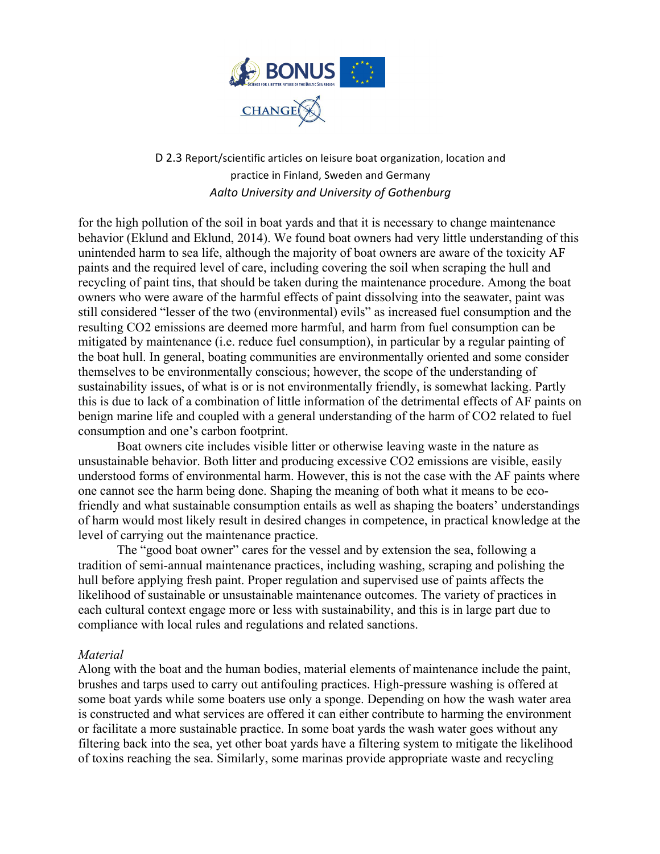

for the high pollution of the soil in boat yards and that it is necessary to change maintenance behavior (Eklund and Eklund, 2014). We found boat owners had very little understanding of this unintended harm to sea life, although the majority of boat owners are aware of the toxicity AF paints and the required level of care, including covering the soil when scraping the hull and recycling of paint tins, that should be taken during the maintenance procedure. Among the boat owners who were aware of the harmful effects of paint dissolving into the seawater, paint was still considered "lesser of the two (environmental) evils" as increased fuel consumption and the resulting CO2 emissions are deemed more harmful, and harm from fuel consumption can be mitigated by maintenance (i.e. reduce fuel consumption), in particular by a regular painting of the boat hull. In general, boating communities are environmentally oriented and some consider themselves to be environmentally conscious; however, the scope of the understanding of sustainability issues, of what is or is not environmentally friendly, is somewhat lacking. Partly this is due to lack of a combination of little information of the detrimental effects of AF paints on benign marine life and coupled with a general understanding of the harm of CO2 related to fuel consumption and one's carbon footprint.

Boat owners cite includes visible litter or otherwise leaving waste in the nature as unsustainable behavior. Both litter and producing excessive CO2 emissions are visible, easily understood forms of environmental harm. However, this is not the case with the AF paints where one cannot see the harm being done. Shaping the meaning of both what it means to be ecofriendly and what sustainable consumption entails as well as shaping the boaters' understandings of harm would most likely result in desired changes in competence, in practical knowledge at the level of carrying out the maintenance practice.

The "good boat owner" cares for the vessel and by extension the sea, following a tradition of semi-annual maintenance practices, including washing, scraping and polishing the hull before applying fresh paint. Proper regulation and supervised use of paints affects the likelihood of sustainable or unsustainable maintenance outcomes. The variety of practices in each cultural context engage more or less with sustainability, and this is in large part due to compliance with local rules and regulations and related sanctions.

#### *Material*

Along with the boat and the human bodies, material elements of maintenance include the paint, brushes and tarps used to carry out antifouling practices. High-pressure washing is offered at some boat yards while some boaters use only a sponge. Depending on how the wash water area is constructed and what services are offered it can either contribute to harming the environment or facilitate a more sustainable practice. In some boat yards the wash water goes without any filtering back into the sea, yet other boat yards have a filtering system to mitigate the likelihood of toxins reaching the sea. Similarly, some marinas provide appropriate waste and recycling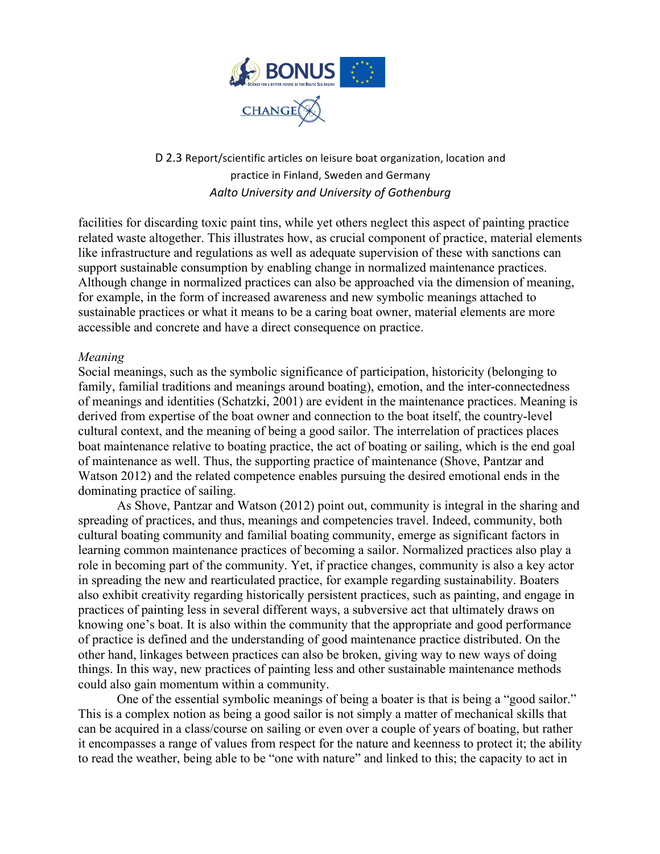

facilities for discarding toxic paint tins, while yet others neglect this aspect of painting practice related waste altogether. This illustrates how, as crucial component of practice, material elements like infrastructure and regulations as well as adequate supervision of these with sanctions can support sustainable consumption by enabling change in normalized maintenance practices. Although change in normalized practices can also be approached via the dimension of meaning, for example, in the form of increased awareness and new symbolic meanings attached to sustainable practices or what it means to be a caring boat owner, material elements are more accessible and concrete and have a direct consequence on practice.

### *Meaning*

Social meanings, such as the symbolic significance of participation, historicity (belonging to family, familial traditions and meanings around boating), emotion, and the inter-connectedness of meanings and identities (Schatzki, 2001) are evident in the maintenance practices. Meaning is derived from expertise of the boat owner and connection to the boat itself, the country-level cultural context, and the meaning of being a good sailor. The interrelation of practices places boat maintenance relative to boating practice, the act of boating or sailing, which is the end goal of maintenance as well. Thus, the supporting practice of maintenance (Shove, Pantzar and Watson 2012) and the related competence enables pursuing the desired emotional ends in the dominating practice of sailing.

As Shove, Pantzar and Watson (2012) point out, community is integral in the sharing and spreading of practices, and thus, meanings and competencies travel. Indeed, community, both cultural boating community and familial boating community, emerge as significant factors in learning common maintenance practices of becoming a sailor. Normalized practices also play a role in becoming part of the community. Yet, if practice changes, community is also a key actor in spreading the new and rearticulated practice, for example regarding sustainability. Boaters also exhibit creativity regarding historically persistent practices, such as painting, and engage in practices of painting less in several different ways, a subversive act that ultimately draws on knowing one's boat. It is also within the community that the appropriate and good performance of practice is defined and the understanding of good maintenance practice distributed. On the other hand, linkages between practices can also be broken, giving way to new ways of doing things. In this way, new practices of painting less and other sustainable maintenance methods could also gain momentum within a community.

One of the essential symbolic meanings of being a boater is that is being a "good sailor." This is a complex notion as being a good sailor is not simply a matter of mechanical skills that can be acquired in a class/course on sailing or even over a couple of years of boating, but rather it encompasses a range of values from respect for the nature and keenness to protect it; the ability to read the weather, being able to be "one with nature" and linked to this; the capacity to act in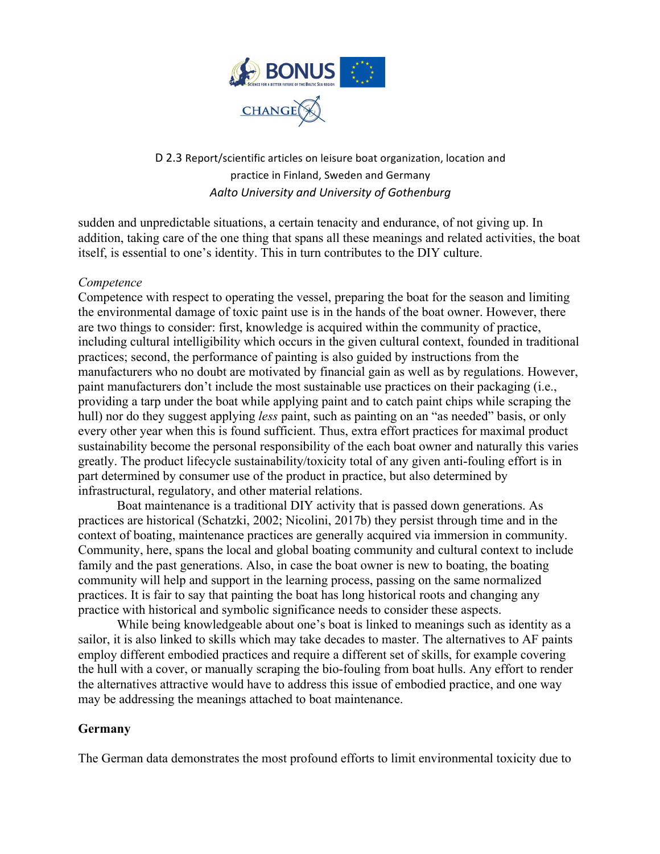

sudden and unpredictable situations, a certain tenacity and endurance, of not giving up. In addition, taking care of the one thing that spans all these meanings and related activities, the boat itself, is essential to one's identity. This in turn contributes to the DIY culture.

### *Competence*

Competence with respect to operating the vessel, preparing the boat for the season and limiting the environmental damage of toxic paint use is in the hands of the boat owner. However, there are two things to consider: first, knowledge is acquired within the community of practice, including cultural intelligibility which occurs in the given cultural context, founded in traditional practices; second, the performance of painting is also guided by instructions from the manufacturers who no doubt are motivated by financial gain as well as by regulations. However, paint manufacturers don't include the most sustainable use practices on their packaging (i.e., providing a tarp under the boat while applying paint and to catch paint chips while scraping the hull) nor do they suggest applying *less* paint, such as painting on an "as needed" basis, or only every other year when this is found sufficient. Thus, extra effort practices for maximal product sustainability become the personal responsibility of the each boat owner and naturally this varies greatly. The product lifecycle sustainability/toxicity total of any given anti-fouling effort is in part determined by consumer use of the product in practice, but also determined by infrastructural, regulatory, and other material relations.

Boat maintenance is a traditional DIY activity that is passed down generations. As practices are historical (Schatzki, 2002; Nicolini, 2017b) they persist through time and in the context of boating, maintenance practices are generally acquired via immersion in community. Community, here, spans the local and global boating community and cultural context to include family and the past generations. Also, in case the boat owner is new to boating, the boating community will help and support in the learning process, passing on the same normalized practices. It is fair to say that painting the boat has long historical roots and changing any practice with historical and symbolic significance needs to consider these aspects.

While being knowledgeable about one's boat is linked to meanings such as identity as a sailor, it is also linked to skills which may take decades to master. The alternatives to AF paints employ different embodied practices and require a different set of skills, for example covering the hull with a cover, or manually scraping the bio-fouling from boat hulls. Any effort to render the alternatives attractive would have to address this issue of embodied practice, and one way may be addressing the meanings attached to boat maintenance.

## **Germany**

The German data demonstrates the most profound efforts to limit environmental toxicity due to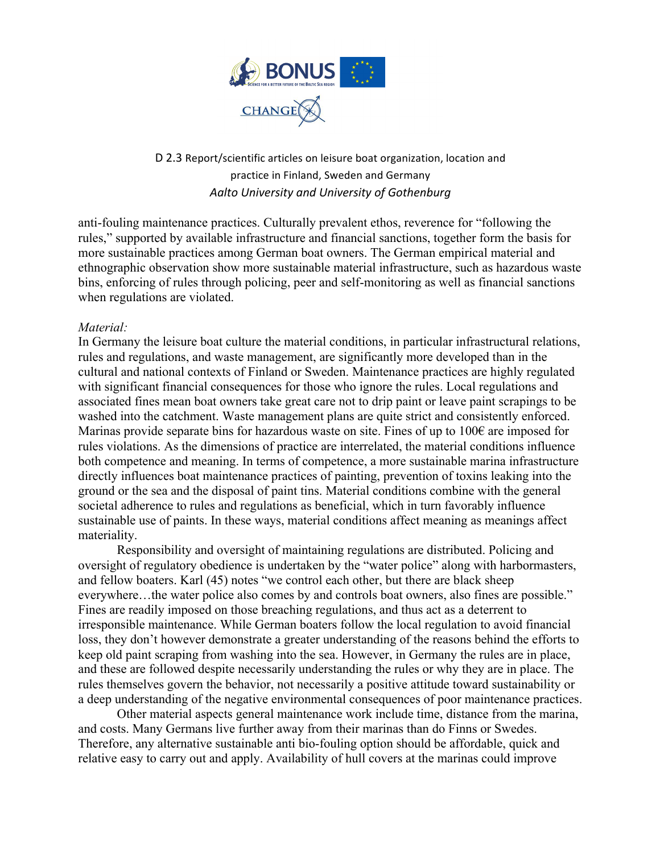

anti-fouling maintenance practices. Culturally prevalent ethos, reverence for "following the rules," supported by available infrastructure and financial sanctions, together form the basis for more sustainable practices among German boat owners. The German empirical material and ethnographic observation show more sustainable material infrastructure, such as hazardous waste bins, enforcing of rules through policing, peer and self-monitoring as well as financial sanctions when regulations are violated.

### *Material:*

In Germany the leisure boat culture the material conditions, in particular infrastructural relations, rules and regulations, and waste management, are significantly more developed than in the cultural and national contexts of Finland or Sweden. Maintenance practices are highly regulated with significant financial consequences for those who ignore the rules. Local regulations and associated fines mean boat owners take great care not to drip paint or leave paint scrapings to be washed into the catchment. Waste management plans are quite strict and consistently enforced. Marinas provide separate bins for hazardous waste on site. Fines of up to  $100\epsilon$  are imposed for rules violations. As the dimensions of practice are interrelated, the material conditions influence both competence and meaning. In terms of competence, a more sustainable marina infrastructure directly influences boat maintenance practices of painting, prevention of toxins leaking into the ground or the sea and the disposal of paint tins. Material conditions combine with the general societal adherence to rules and regulations as beneficial, which in turn favorably influence sustainable use of paints. In these ways, material conditions affect meaning as meanings affect materiality.

Responsibility and oversight of maintaining regulations are distributed. Policing and oversight of regulatory obedience is undertaken by the "water police" along with harbormasters, and fellow boaters. Karl (45) notes "we control each other, but there are black sheep everywhere…the water police also comes by and controls boat owners, also fines are possible." Fines are readily imposed on those breaching regulations, and thus act as a deterrent to irresponsible maintenance. While German boaters follow the local regulation to avoid financial loss, they don't however demonstrate a greater understanding of the reasons behind the efforts to keep old paint scraping from washing into the sea. However, in Germany the rules are in place, and these are followed despite necessarily understanding the rules or why they are in place. The rules themselves govern the behavior, not necessarily a positive attitude toward sustainability or a deep understanding of the negative environmental consequences of poor maintenance practices.

Other material aspects general maintenance work include time, distance from the marina, and costs. Many Germans live further away from their marinas than do Finns or Swedes. Therefore, any alternative sustainable anti bio-fouling option should be affordable, quick and relative easy to carry out and apply. Availability of hull covers at the marinas could improve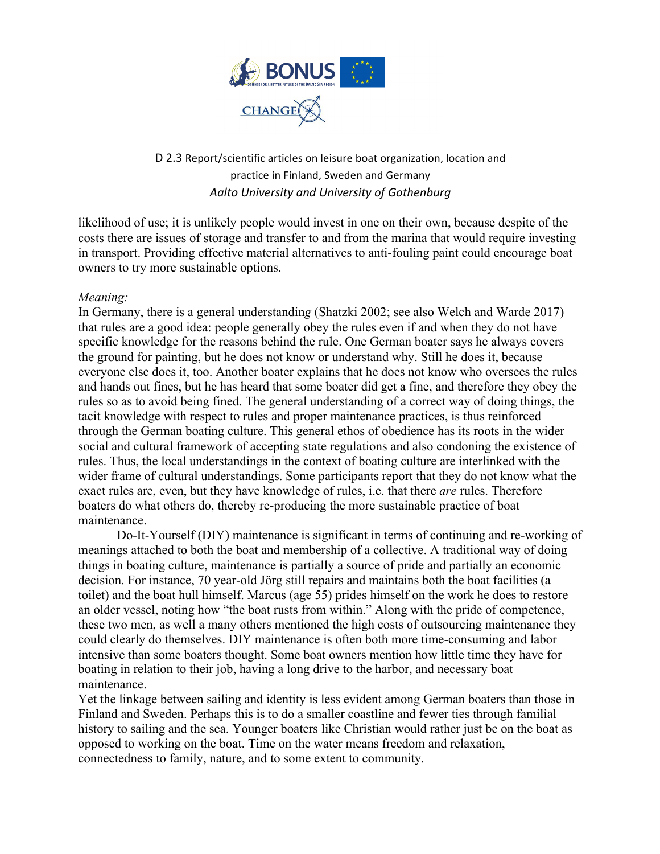

likelihood of use; it is unlikely people would invest in one on their own, because despite of the costs there are issues of storage and transfer to and from the marina that would require investing in transport. Providing effective material alternatives to anti-fouling paint could encourage boat owners to try more sustainable options.

### *Meaning:*

In Germany, there is a general understandin*g* (Shatzki 2002; see also Welch and Warde 2017) that rules are a good idea: people generally obey the rules even if and when they do not have specific knowledge for the reasons behind the rule. One German boater says he always covers the ground for painting, but he does not know or understand why. Still he does it, because everyone else does it, too. Another boater explains that he does not know who oversees the rules and hands out fines, but he has heard that some boater did get a fine, and therefore they obey the rules so as to avoid being fined. The general understanding of a correct way of doing things, the tacit knowledge with respect to rules and proper maintenance practices, is thus reinforced through the German boating culture. This general ethos of obedience has its roots in the wider social and cultural framework of accepting state regulations and also condoning the existence of rules. Thus, the local understandings in the context of boating culture are interlinked with the wider frame of cultural understandings. Some participants report that they do not know what the exact rules are, even, but they have knowledge of rules, i.e. that there *are* rules. Therefore boaters do what others do, thereby re-producing the more sustainable practice of boat maintenance.

Do-It-Yourself (DIY) maintenance is significant in terms of continuing and re-working of meanings attached to both the boat and membership of a collective. A traditional way of doing things in boating culture, maintenance is partially a source of pride and partially an economic decision. For instance, 70 year-old Jörg still repairs and maintains both the boat facilities (a toilet) and the boat hull himself. Marcus (age 55) prides himself on the work he does to restore an older vessel, noting how "the boat rusts from within." Along with the pride of competence, these two men, as well a many others mentioned the high costs of outsourcing maintenance they could clearly do themselves. DIY maintenance is often both more time-consuming and labor intensive than some boaters thought. Some boat owners mention how little time they have for boating in relation to their job, having a long drive to the harbor, and necessary boat maintenance.

Yet the linkage between sailing and identity is less evident among German boaters than those in Finland and Sweden. Perhaps this is to do a smaller coastline and fewer ties through familial history to sailing and the sea. Younger boaters like Christian would rather just be on the boat as opposed to working on the boat. Time on the water means freedom and relaxation, connectedness to family, nature, and to some extent to community.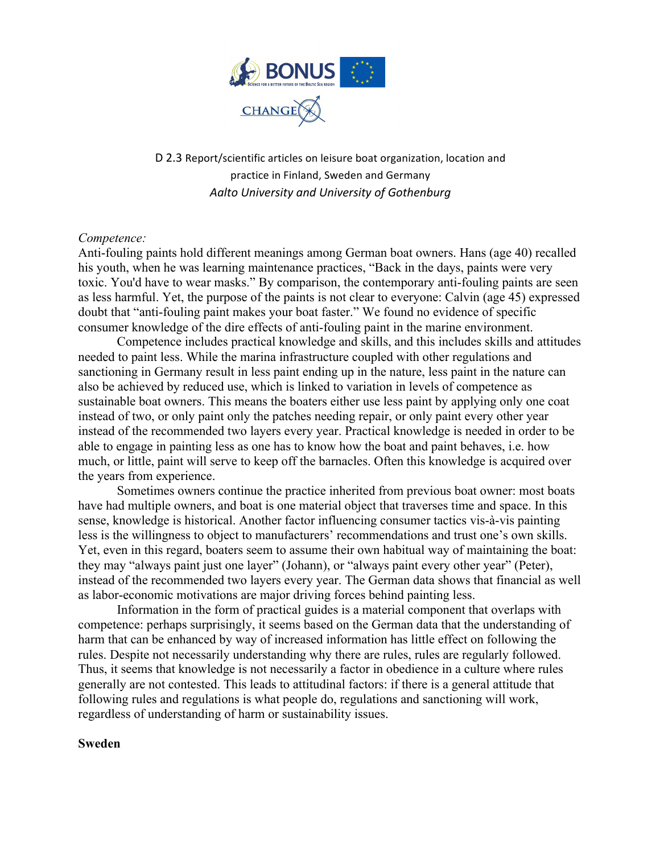

### *Competence:*

Anti-fouling paints hold different meanings among German boat owners. Hans (age 40) recalled his youth, when he was learning maintenance practices, "Back in the days, paints were very toxic. You'd have to wear masks." By comparison, the contemporary anti-fouling paints are seen as less harmful. Yet, the purpose of the paints is not clear to everyone: Calvin (age 45) expressed doubt that "anti-fouling paint makes your boat faster." We found no evidence of specific consumer knowledge of the dire effects of anti-fouling paint in the marine environment.

Competence includes practical knowledge and skills, and this includes skills and attitudes needed to paint less. While the marina infrastructure coupled with other regulations and sanctioning in Germany result in less paint ending up in the nature, less paint in the nature can also be achieved by reduced use, which is linked to variation in levels of competence as sustainable boat owners. This means the boaters either use less paint by applying only one coat instead of two, or only paint only the patches needing repair, or only paint every other year instead of the recommended two layers every year. Practical knowledge is needed in order to be able to engage in painting less as one has to know how the boat and paint behaves, i.e. how much, or little, paint will serve to keep off the barnacles. Often this knowledge is acquired over the years from experience.

Sometimes owners continue the practice inherited from previous boat owner: most boats have had multiple owners, and boat is one material object that traverses time and space. In this sense, knowledge is historical. Another factor influencing consumer tactics vis-à-vis painting less is the willingness to object to manufacturers' recommendations and trust one's own skills. Yet, even in this regard, boaters seem to assume their own habitual way of maintaining the boat: they may "always paint just one layer" (Johann), or "always paint every other year" (Peter), instead of the recommended two layers every year. The German data shows that financial as well as labor-economic motivations are major driving forces behind painting less.

Information in the form of practical guides is a material component that overlaps with competence: perhaps surprisingly, it seems based on the German data that the understanding of harm that can be enhanced by way of increased information has little effect on following the rules. Despite not necessarily understanding why there are rules, rules are regularly followed. Thus, it seems that knowledge is not necessarily a factor in obedience in a culture where rules generally are not contested. This leads to attitudinal factors: if there is a general attitude that following rules and regulations is what people do, regulations and sanctioning will work, regardless of understanding of harm or sustainability issues.

#### **Sweden**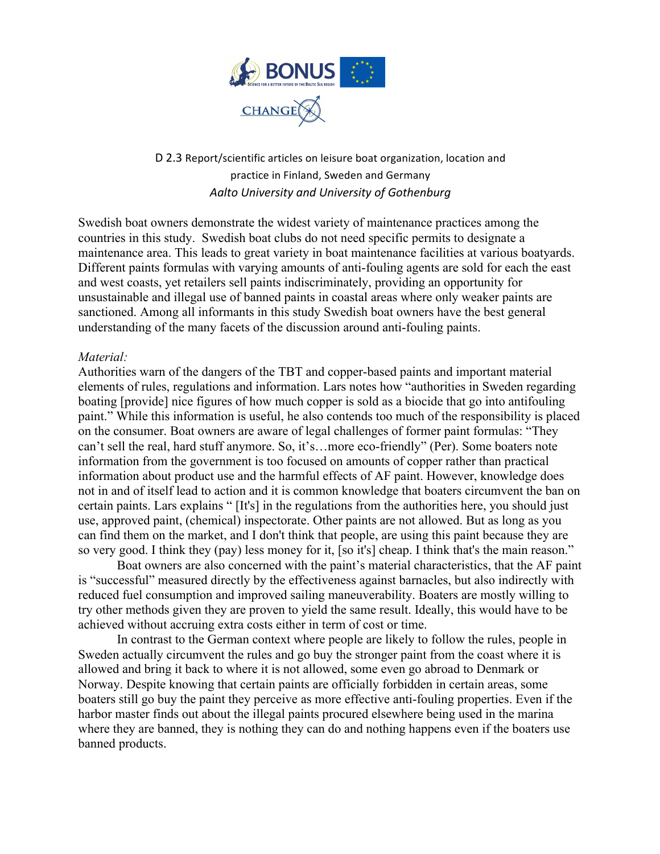

Swedish boat owners demonstrate the widest variety of maintenance practices among the countries in this study. Swedish boat clubs do not need specific permits to designate a maintenance area. This leads to great variety in boat maintenance facilities at various boatyards. Different paints formulas with varying amounts of anti-fouling agents are sold for each the east and west coasts, yet retailers sell paints indiscriminately, providing an opportunity for unsustainable and illegal use of banned paints in coastal areas where only weaker paints are sanctioned. Among all informants in this study Swedish boat owners have the best general understanding of the many facets of the discussion around anti-fouling paints.

### *Material:*

Authorities warn of the dangers of the TBT and copper-based paints and important material elements of rules, regulations and information. Lars notes how "authorities in Sweden regarding boating [provide] nice figures of how much copper is sold as a biocide that go into antifouling paint." While this information is useful, he also contends too much of the responsibility is placed on the consumer. Boat owners are aware of legal challenges of former paint formulas: "They can't sell the real, hard stuff anymore. So, it's…more eco-friendly" (Per). Some boaters note information from the government is too focused on amounts of copper rather than practical information about product use and the harmful effects of AF paint. However, knowledge does not in and of itself lead to action and it is common knowledge that boaters circumvent the ban on certain paints. Lars explains " [It's] in the regulations from the authorities here, you should just use, approved paint, (chemical) inspectorate. Other paints are not allowed. But as long as you can find them on the market, and I don't think that people, are using this paint because they are so very good. I think they (pay) less money for it, [so it's] cheap. I think that's the main reason."

Boat owners are also concerned with the paint's material characteristics, that the AF paint is "successful" measured directly by the effectiveness against barnacles, but also indirectly with reduced fuel consumption and improved sailing maneuverability. Boaters are mostly willing to try other methods given they are proven to yield the same result. Ideally, this would have to be achieved without accruing extra costs either in term of cost or time.

In contrast to the German context where people are likely to follow the rules, people in Sweden actually circumvent the rules and go buy the stronger paint from the coast where it is allowed and bring it back to where it is not allowed, some even go abroad to Denmark or Norway. Despite knowing that certain paints are officially forbidden in certain areas, some boaters still go buy the paint they perceive as more effective anti-fouling properties. Even if the harbor master finds out about the illegal paints procured elsewhere being used in the marina where they are banned, they is nothing they can do and nothing happens even if the boaters use banned products.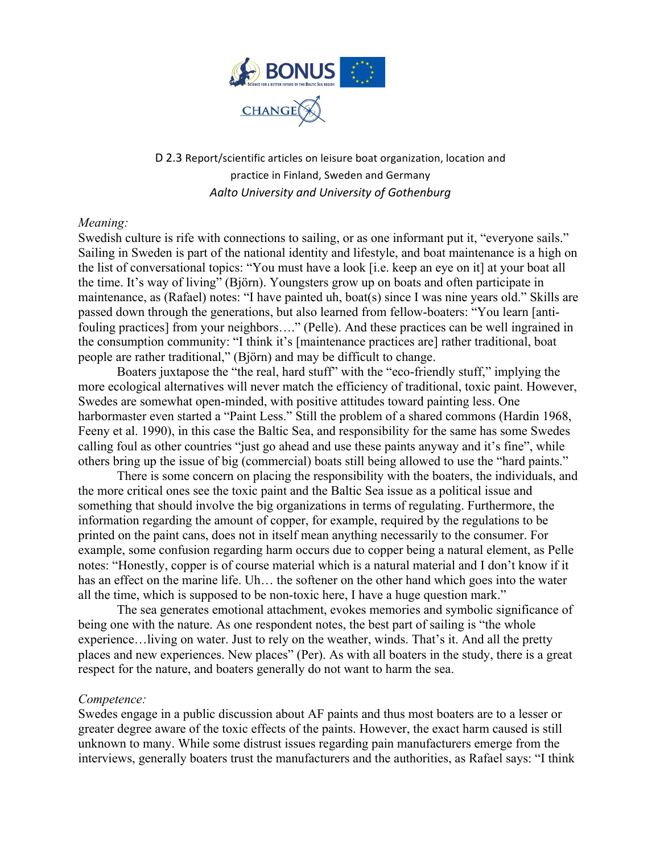

### *Meaning:*

Swedish culture is rife with connections to sailing, or as one informant put it, "everyone sails." Sailing in Sweden is part of the national identity and lifestyle, and boat maintenance is a high on the list of conversational topics: "You must have a look [i.e. keep an eye on it] at your boat all the time. It's way of living" (Björn). Youngsters grow up on boats and often participate in maintenance, as (Rafael) notes: "I have painted uh, boat(s) since I was nine years old." Skills are passed down through the generations, but also learned from fellow-boaters: "You learn [antifouling practices] from your neighbors…." (Pelle). And these practices can be well ingrained in the consumption community: "I think it's [maintenance practices are] rather traditional, boat people are rather traditional," (Björn) and may be difficult to change.

Boaters juxtapose the "the real, hard stuff" with the "eco-friendly stuff," implying the more ecological alternatives will never match the efficiency of traditional, toxic paint. However, Swedes are somewhat open-minded, with positive attitudes toward painting less. One harbormaster even started a "Paint Less." Still the problem of a shared commons (Hardin 1968, Feeny et al. 1990), in this case the Baltic Sea, and responsibility for the same has some Swedes calling foul as other countries "just go ahead and use these paints anyway and it's fine", while others bring up the issue of big (commercial) boats still being allowed to use the "hard paints."

There is some concern on placing the responsibility with the boaters, the individuals, and the more critical ones see the toxic paint and the Baltic Sea issue as a political issue and something that should involve the big organizations in terms of regulating. Furthermore, the information regarding the amount of copper, for example, required by the regulations to be printed on the paint cans, does not in itself mean anything necessarily to the consumer. For example, some confusion regarding harm occurs due to copper being a natural element, as Pelle notes: "Honestly, copper is of course material which is a natural material and I don't know if it has an effect on the marine life. Uh... the softener on the other hand which goes into the water all the time, which is supposed to be non-toxic here, I have a huge question mark."

The sea generates emotional attachment, evokes memories and symbolic significance of being one with the nature. As one respondent notes, the best part of sailing is "the whole experience…living on water. Just to rely on the weather, winds. That's it. And all the pretty places and new experiences. New places" (Per). As with all boaters in the study, there is a great respect for the nature, and boaters generally do not want to harm the sea.

#### *Competence:*

Swedes engage in a public discussion about AF paints and thus most boaters are to a lesser or greater degree aware of the toxic effects of the paints. However, the exact harm caused is still unknown to many. While some distrust issues regarding pain manufacturers emerge from the interviews, generally boaters trust the manufacturers and the authorities, as Rafael says: "I think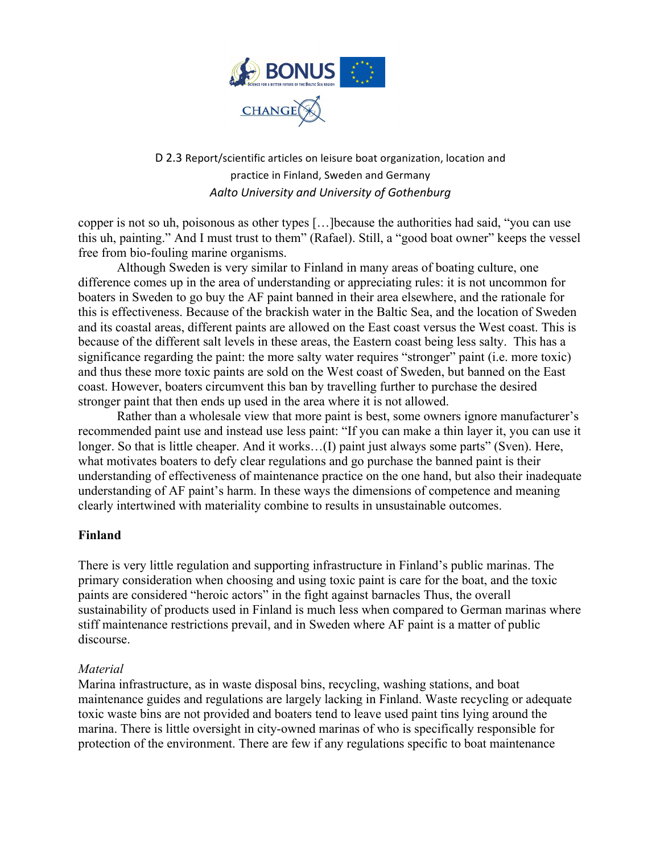

copper is not so uh, poisonous as other types […]because the authorities had said, "you can use this uh, painting." And I must trust to them" (Rafael). Still, a "good boat owner" keeps the vessel free from bio-fouling marine organisms.

Although Sweden is very similar to Finland in many areas of boating culture, one difference comes up in the area of understanding or appreciating rules: it is not uncommon for boaters in Sweden to go buy the AF paint banned in their area elsewhere, and the rationale for this is effectiveness. Because of the brackish water in the Baltic Sea, and the location of Sweden and its coastal areas, different paints are allowed on the East coast versus the West coast. This is because of the different salt levels in these areas, the Eastern coast being less salty. This has a significance regarding the paint: the more salty water requires "stronger" paint (i.e. more toxic) and thus these more toxic paints are sold on the West coast of Sweden, but banned on the East coast. However, boaters circumvent this ban by travelling further to purchase the desired stronger paint that then ends up used in the area where it is not allowed.

Rather than a wholesale view that more paint is best, some owners ignore manufacturer's recommended paint use and instead use less paint: "If you can make a thin layer it, you can use it longer. So that is little cheaper. And it works...(I) paint just always some parts" (Sven). Here, what motivates boaters to defy clear regulations and go purchase the banned paint is their understanding of effectiveness of maintenance practice on the one hand, but also their inadequate understanding of AF paint's harm. In these ways the dimensions of competence and meaning clearly intertwined with materiality combine to results in unsustainable outcomes.

### **Finland**

There is very little regulation and supporting infrastructure in Finland's public marinas. The primary consideration when choosing and using toxic paint is care for the boat, and the toxic paints are considered "heroic actors" in the fight against barnacles Thus, the overall sustainability of products used in Finland is much less when compared to German marinas where stiff maintenance restrictions prevail, and in Sweden where AF paint is a matter of public discourse.

### *Material*

Marina infrastructure, as in waste disposal bins, recycling, washing stations, and boat maintenance guides and regulations are largely lacking in Finland. Waste recycling or adequate toxic waste bins are not provided and boaters tend to leave used paint tins lying around the marina. There is little oversight in city-owned marinas of who is specifically responsible for protection of the environment. There are few if any regulations specific to boat maintenance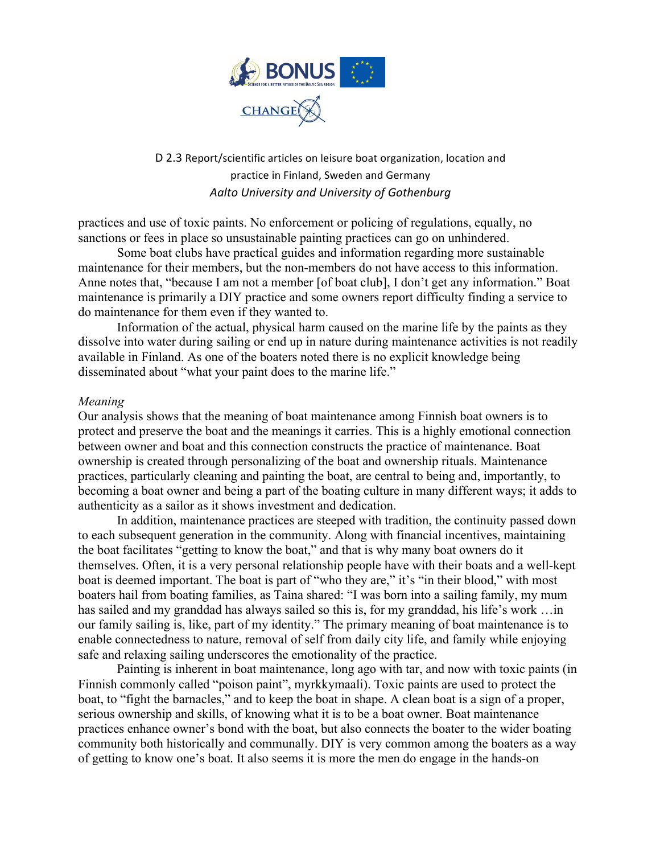

practices and use of toxic paints. No enforcement or policing of regulations, equally, no sanctions or fees in place so unsustainable painting practices can go on unhindered.

Some boat clubs have practical guides and information regarding more sustainable maintenance for their members, but the non-members do not have access to this information. Anne notes that, "because I am not a member [of boat club], I don't get any information." Boat maintenance is primarily a DIY practice and some owners report difficulty finding a service to do maintenance for them even if they wanted to.

Information of the actual, physical harm caused on the marine life by the paints as they dissolve into water during sailing or end up in nature during maintenance activities is not readily available in Finland. As one of the boaters noted there is no explicit knowledge being disseminated about "what your paint does to the marine life."

#### *Meaning*

Our analysis shows that the meaning of boat maintenance among Finnish boat owners is to protect and preserve the boat and the meanings it carries. This is a highly emotional connection between owner and boat and this connection constructs the practice of maintenance. Boat ownership is created through personalizing of the boat and ownership rituals. Maintenance practices, particularly cleaning and painting the boat, are central to being and, importantly, to becoming a boat owner and being a part of the boating culture in many different ways; it adds to authenticity as a sailor as it shows investment and dedication.

In addition, maintenance practices are steeped with tradition, the continuity passed down to each subsequent generation in the community. Along with financial incentives, maintaining the boat facilitates "getting to know the boat," and that is why many boat owners do it themselves. Often, it is a very personal relationship people have with their boats and a well-kept boat is deemed important. The boat is part of "who they are," it's "in their blood," with most boaters hail from boating families, as Taina shared: "I was born into a sailing family, my mum has sailed and my granddad has always sailed so this is, for my granddad, his life's work ... in our family sailing is, like, part of my identity." The primary meaning of boat maintenance is to enable connectedness to nature, removal of self from daily city life, and family while enjoying safe and relaxing sailing underscores the emotionality of the practice.

Painting is inherent in boat maintenance, long ago with tar, and now with toxic paints (in Finnish commonly called "poison paint", myrkkymaali). Toxic paints are used to protect the boat, to "fight the barnacles," and to keep the boat in shape. A clean boat is a sign of a proper, serious ownership and skills, of knowing what it is to be a boat owner. Boat maintenance practices enhance owner's bond with the boat, but also connects the boater to the wider boating community both historically and communally. DIY is very common among the boaters as a way of getting to know one's boat. It also seems it is more the men do engage in the hands-on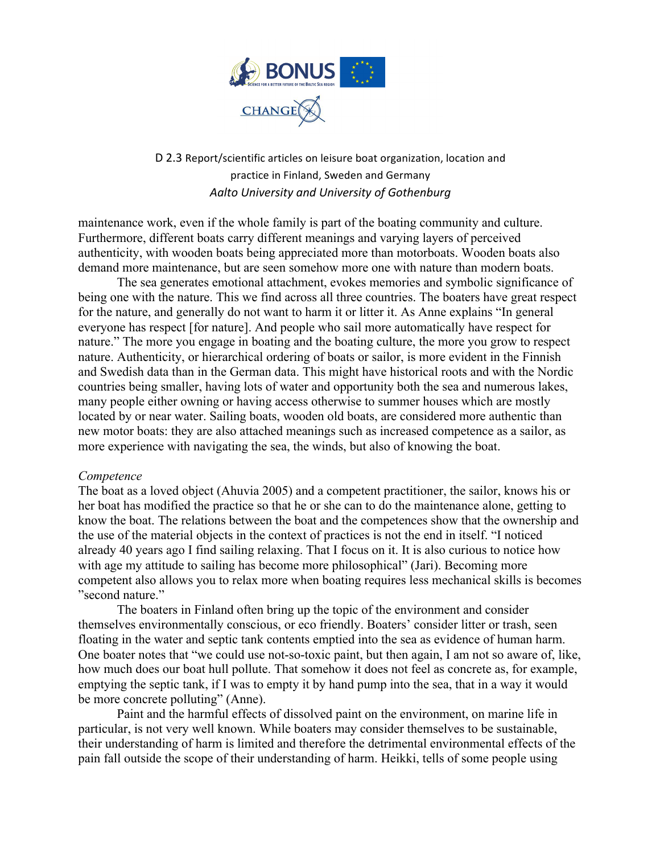

maintenance work, even if the whole family is part of the boating community and culture. Furthermore, different boats carry different meanings and varying layers of perceived authenticity, with wooden boats being appreciated more than motorboats. Wooden boats also demand more maintenance, but are seen somehow more one with nature than modern boats.

The sea generates emotional attachment, evokes memories and symbolic significance of being one with the nature. This we find across all three countries. The boaters have great respect for the nature, and generally do not want to harm it or litter it. As Anne explains "In general everyone has respect [for nature]. And people who sail more automatically have respect for nature." The more you engage in boating and the boating culture, the more you grow to respect nature. Authenticity, or hierarchical ordering of boats or sailor, is more evident in the Finnish and Swedish data than in the German data. This might have historical roots and with the Nordic countries being smaller, having lots of water and opportunity both the sea and numerous lakes, many people either owning or having access otherwise to summer houses which are mostly located by or near water. Sailing boats, wooden old boats, are considered more authentic than new motor boats: they are also attached meanings such as increased competence as a sailor, as more experience with navigating the sea, the winds, but also of knowing the boat.

#### *Competence*

The boat as a loved object (Ahuvia 2005) and a competent practitioner, the sailor, knows his or her boat has modified the practice so that he or she can to do the maintenance alone, getting to know the boat. The relations between the boat and the competences show that the ownership and the use of the material objects in the context of practices is not the end in itself. "I noticed already 40 years ago I find sailing relaxing. That I focus on it. It is also curious to notice how with age my attitude to sailing has become more philosophical" (Jari). Becoming more competent also allows you to relax more when boating requires less mechanical skills is becomes "second nature."

The boaters in Finland often bring up the topic of the environment and consider themselves environmentally conscious, or eco friendly. Boaters' consider litter or trash, seen floating in the water and septic tank contents emptied into the sea as evidence of human harm. One boater notes that "we could use not-so-toxic paint, but then again, I am not so aware of, like, how much does our boat hull pollute. That somehow it does not feel as concrete as, for example, emptying the septic tank, if I was to empty it by hand pump into the sea, that in a way it would be more concrete polluting" (Anne).

Paint and the harmful effects of dissolved paint on the environment, on marine life in particular, is not very well known. While boaters may consider themselves to be sustainable, their understanding of harm is limited and therefore the detrimental environmental effects of the pain fall outside the scope of their understanding of harm. Heikki, tells of some people using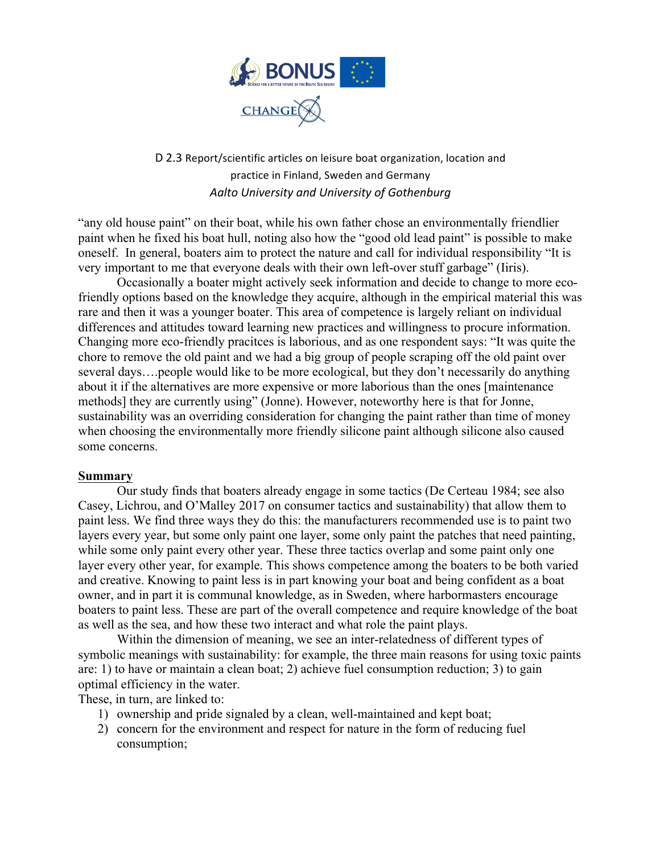

"any old house paint" on their boat, while his own father chose an environmentally friendlier paint when he fixed his boat hull, noting also how the "good old lead paint" is possible to make oneself. In general, boaters aim to protect the nature and call for individual responsibility "It is very important to me that everyone deals with their own left-over stuff garbage" (Iiris).

Occasionally a boater might actively seek information and decide to change to more ecofriendly options based on the knowledge they acquire, although in the empirical material this was rare and then it was a younger boater. This area of competence is largely reliant on individual differences and attitudes toward learning new practices and willingness to procure information. Changing more eco-friendly pracitces is laborious, and as one respondent says: "It was quite the chore to remove the old paint and we had a big group of people scraping off the old paint over several days….people would like to be more ecological, but they don't necessarily do anything about it if the alternatives are more expensive or more laborious than the ones [maintenance methods] they are currently using" (Jonne). However, noteworthy here is that for Jonne, sustainability was an overriding consideration for changing the paint rather than time of money when choosing the environmentally more friendly silicone paint although silicone also caused some concerns.

#### **Summary**

Our study finds that boaters already engage in some tactics (De Certeau 1984; see also Casey, Lichrou, and O'Malley 2017 on consumer tactics and sustainability) that allow them to paint less. We find three ways they do this: the manufacturers recommended use is to paint two layers every year, but some only paint one layer, some only paint the patches that need painting, while some only paint every other year. These three tactics overlap and some paint only one layer every other year, for example. This shows competence among the boaters to be both varied and creative. Knowing to paint less is in part knowing your boat and being confident as a boat owner, and in part it is communal knowledge, as in Sweden, where harbormasters encourage boaters to paint less. These are part of the overall competence and require knowledge of the boat as well as the sea, and how these two interact and what role the paint plays.

Within the dimension of meaning, we see an inter-relatedness of different types of symbolic meanings with sustainability: for example, the three main reasons for using toxic paints are: 1) to have or maintain a clean boat; 2) achieve fuel consumption reduction; 3) to gain optimal efficiency in the water.

These, in turn, are linked to:

- 1) ownership and pride signaled by a clean, well-maintained and kept boat;
- 2) concern for the environment and respect for nature in the form of reducing fuel consumption;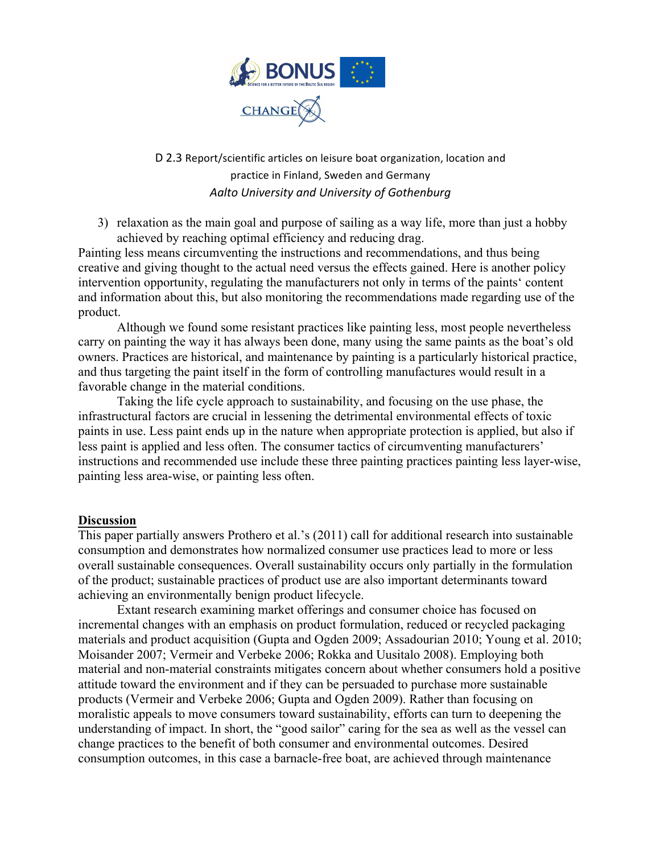

3) relaxation as the main goal and purpose of sailing as a way life, more than just a hobby achieved by reaching optimal efficiency and reducing drag.

Painting less means circumventing the instructions and recommendations, and thus being creative and giving thought to the actual need versus the effects gained. Here is another policy intervention opportunity, regulating the manufacturers not only in terms of the paints' content and information about this, but also monitoring the recommendations made regarding use of the product.

Although we found some resistant practices like painting less, most people nevertheless carry on painting the way it has always been done, many using the same paints as the boat's old owners. Practices are historical, and maintenance by painting is a particularly historical practice, and thus targeting the paint itself in the form of controlling manufactures would result in a favorable change in the material conditions.

Taking the life cycle approach to sustainability, and focusing on the use phase, the infrastructural factors are crucial in lessening the detrimental environmental effects of toxic paints in use. Less paint ends up in the nature when appropriate protection is applied, but also if less paint is applied and less often. The consumer tactics of circumventing manufacturers' instructions and recommended use include these three painting practices painting less layer-wise, painting less area-wise, or painting less often.

### **Discussion**

This paper partially answers Prothero et al.'s (2011) call for additional research into sustainable consumption and demonstrates how normalized consumer use practices lead to more or less overall sustainable consequences. Overall sustainability occurs only partially in the formulation of the product; sustainable practices of product use are also important determinants toward achieving an environmentally benign product lifecycle.

Extant research examining market offerings and consumer choice has focused on incremental changes with an emphasis on product formulation, reduced or recycled packaging materials and product acquisition (Gupta and Ogden 2009; Assadourian 2010; Young et al. 2010; Moisander 2007; Vermeir and Verbeke 2006; Rokka and Uusitalo 2008). Employing both material and non-material constraints mitigates concern about whether consumers hold a positive attitude toward the environment and if they can be persuaded to purchase more sustainable products (Vermeir and Verbeke 2006; Gupta and Ogden 2009). Rather than focusing on moralistic appeals to move consumers toward sustainability, efforts can turn to deepening the understanding of impact. In short, the "good sailor" caring for the sea as well as the vessel can change practices to the benefit of both consumer and environmental outcomes. Desired consumption outcomes, in this case a barnacle-free boat, are achieved through maintenance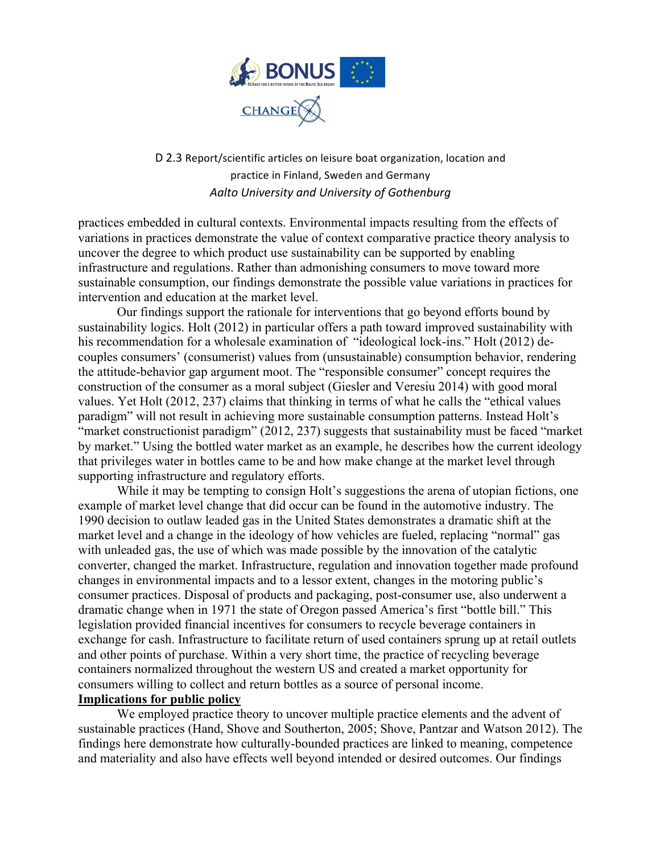

practices embedded in cultural contexts. Environmental impacts resulting from the effects of variations in practices demonstrate the value of context comparative practice theory analysis to uncover the degree to which product use sustainability can be supported by enabling infrastructure and regulations. Rather than admonishing consumers to move toward more sustainable consumption, our findings demonstrate the possible value variations in practices for intervention and education at the market level.

Our findings support the rationale for interventions that go beyond efforts bound by sustainability logics. Holt (2012) in particular offers a path toward improved sustainability with his recommendation for a wholesale examination of "ideological lock-ins." Holt (2012) decouples consumers' (consumerist) values from (unsustainable) consumption behavior, rendering the attitude-behavior gap argument moot. The "responsible consumer" concept requires the construction of the consumer as a moral subject (Giesler and Veresiu 2014) with good moral values. Yet Holt (2012, 237) claims that thinking in terms of what he calls the "ethical values paradigm" will not result in achieving more sustainable consumption patterns. Instead Holt's "market constructionist paradigm" (2012, 237) suggests that sustainability must be faced "market by market." Using the bottled water market as an example, he describes how the current ideology that privileges water in bottles came to be and how make change at the market level through supporting infrastructure and regulatory efforts.

While it may be tempting to consign Holt's suggestions the arena of utopian fictions, one example of market level change that did occur can be found in the automotive industry. The 1990 decision to outlaw leaded gas in the United States demonstrates a dramatic shift at the market level and a change in the ideology of how vehicles are fueled, replacing "normal" gas with unleaded gas, the use of which was made possible by the innovation of the catalytic converter, changed the market. Infrastructure, regulation and innovation together made profound changes in environmental impacts and to a lessor extent, changes in the motoring public's consumer practices. Disposal of products and packaging, post-consumer use, also underwent a dramatic change when in 1971 the state of Oregon passed America's first "bottle bill." This legislation provided financial incentives for consumers to recycle beverage containers in exchange for cash. Infrastructure to facilitate return of used containers sprung up at retail outlets and other points of purchase. Within a very short time, the practice of recycling beverage containers normalized throughout the western US and created a market opportunity for consumers willing to collect and return bottles as a source of personal income.

#### **Implications for public policy**

We employed practice theory to uncover multiple practice elements and the advent of sustainable practices (Hand, Shove and Southerton, 2005; Shove, Pantzar and Watson 2012). The findings here demonstrate how culturally-bounded practices are linked to meaning, competence and materiality and also have effects well beyond intended or desired outcomes. Our findings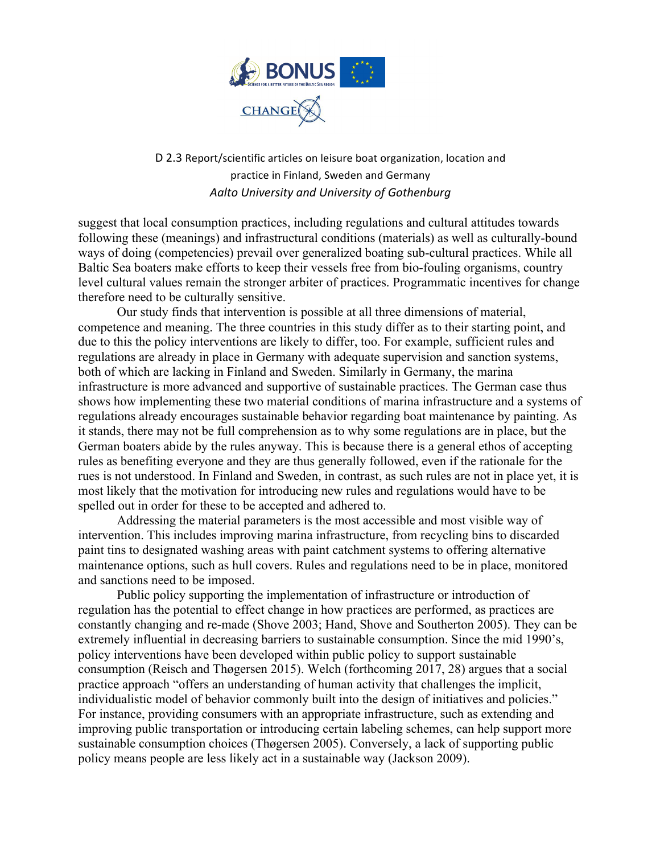

suggest that local consumption practices, including regulations and cultural attitudes towards following these (meanings) and infrastructural conditions (materials) as well as culturally-bound ways of doing (competencies) prevail over generalized boating sub-cultural practices. While all Baltic Sea boaters make efforts to keep their vessels free from bio-fouling organisms, country level cultural values remain the stronger arbiter of practices. Programmatic incentives for change therefore need to be culturally sensitive.

Our study finds that intervention is possible at all three dimensions of material, competence and meaning. The three countries in this study differ as to their starting point, and due to this the policy interventions are likely to differ, too. For example, sufficient rules and regulations are already in place in Germany with adequate supervision and sanction systems, both of which are lacking in Finland and Sweden. Similarly in Germany, the marina infrastructure is more advanced and supportive of sustainable practices. The German case thus shows how implementing these two material conditions of marina infrastructure and a systems of regulations already encourages sustainable behavior regarding boat maintenance by painting. As it stands, there may not be full comprehension as to why some regulations are in place, but the German boaters abide by the rules anyway. This is because there is a general ethos of accepting rules as benefiting everyone and they are thus generally followed, even if the rationale for the rues is not understood. In Finland and Sweden, in contrast, as such rules are not in place yet, it is most likely that the motivation for introducing new rules and regulations would have to be spelled out in order for these to be accepted and adhered to.

Addressing the material parameters is the most accessible and most visible way of intervention. This includes improving marina infrastructure, from recycling bins to discarded paint tins to designated washing areas with paint catchment systems to offering alternative maintenance options, such as hull covers. Rules and regulations need to be in place, monitored and sanctions need to be imposed.

Public policy supporting the implementation of infrastructure or introduction of regulation has the potential to effect change in how practices are performed, as practices are constantly changing and re-made (Shove 2003; Hand, Shove and Southerton 2005). They can be extremely influential in decreasing barriers to sustainable consumption. Since the mid 1990's, policy interventions have been developed within public policy to support sustainable consumption (Reisch and Thøgersen 2015). Welch (forthcoming 2017, 28) argues that a social practice approach "offers an understanding of human activity that challenges the implicit, individualistic model of behavior commonly built into the design of initiatives and policies." For instance, providing consumers with an appropriate infrastructure, such as extending and improving public transportation or introducing certain labeling schemes, can help support more sustainable consumption choices (Thøgersen 2005). Conversely, a lack of supporting public policy means people are less likely act in a sustainable way (Jackson 2009).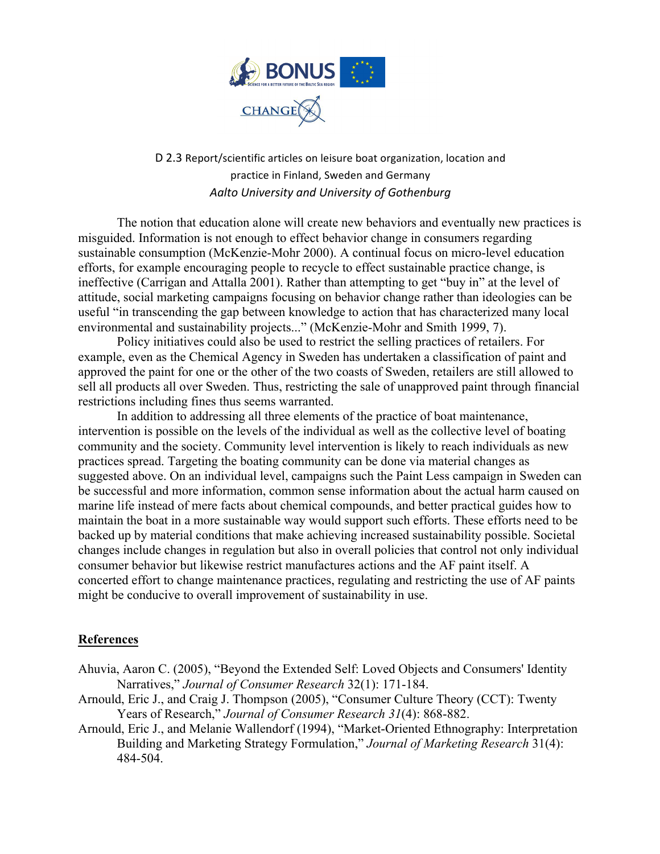

The notion that education alone will create new behaviors and eventually new practices is misguided. Information is not enough to effect behavior change in consumers regarding sustainable consumption (McKenzie-Mohr 2000). A continual focus on micro-level education efforts, for example encouraging people to recycle to effect sustainable practice change, is ineffective (Carrigan and Attalla 2001). Rather than attempting to get "buy in" at the level of attitude, social marketing campaigns focusing on behavior change rather than ideologies can be useful "in transcending the gap between knowledge to action that has characterized many local environmental and sustainability projects..." (McKenzie-Mohr and Smith 1999, 7).

Policy initiatives could also be used to restrict the selling practices of retailers. For example, even as the Chemical Agency in Sweden has undertaken a classification of paint and approved the paint for one or the other of the two coasts of Sweden, retailers are still allowed to sell all products all over Sweden. Thus, restricting the sale of unapproved paint through financial restrictions including fines thus seems warranted.

In addition to addressing all three elements of the practice of boat maintenance, intervention is possible on the levels of the individual as well as the collective level of boating community and the society. Community level intervention is likely to reach individuals as new practices spread. Targeting the boating community can be done via material changes as suggested above. On an individual level, campaigns such the Paint Less campaign in Sweden can be successful and more information, common sense information about the actual harm caused on marine life instead of mere facts about chemical compounds, and better practical guides how to maintain the boat in a more sustainable way would support such efforts. These efforts need to be backed up by material conditions that make achieving increased sustainability possible. Societal changes include changes in regulation but also in overall policies that control not only individual consumer behavior but likewise restrict manufactures actions and the AF paint itself. A concerted effort to change maintenance practices, regulating and restricting the use of AF paints might be conducive to overall improvement of sustainability in use.

### **References**

- Ahuvia, Aaron C. (2005), "Beyond the Extended Self: Loved Objects and Consumers' Identity Narratives," *Journal of Consumer Research* 32(1): 171-184.
- Arnould, Eric J., and Craig J. Thompson (2005), "Consumer Culture Theory (CCT): Twenty Years of Research," *Journal of Consumer Research 31*(4): 868-882.
- Arnould, Eric J., and Melanie Wallendorf (1994), "Market-Oriented Ethnography: Interpretation Building and Marketing Strategy Formulation," *Journal of Marketing Research* 31(4): 484-504.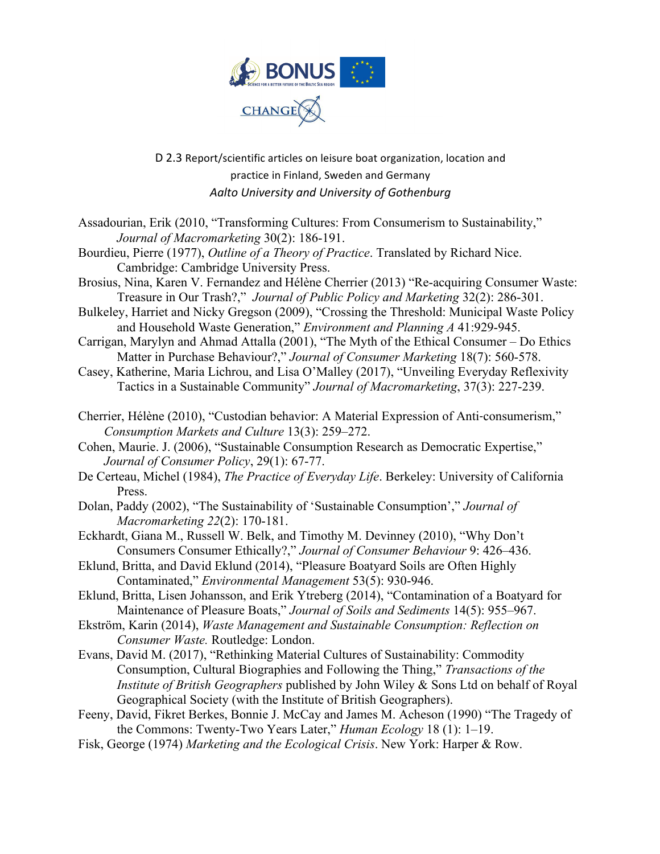

- Assadourian, Erik (2010, "Transforming Cultures: From Consumerism to Sustainability," *Journal of Macromarketing* 30(2): 186-191.
- Bourdieu, Pierre (1977), *Outline of a Theory of Practice*. Translated by Richard Nice. Cambridge: Cambridge University Press.
- Brosius, Nina, Karen V. Fernandez and Hélène Cherrier (2013) "Re-acquiring Consumer Waste: Treasure in Our Trash?," *Journal of Public Policy and Marketing* 32(2): 286-301.
- Bulkeley, Harriet and Nicky Gregson (2009), "Crossing the Threshold: Municipal Waste Policy and Household Waste Generation," *Environment and Planning A* 41:929-945.
- Carrigan, Marylyn and Ahmad Attalla (2001), "The Myth of the Ethical Consumer Do Ethics Matter in Purchase Behaviour?," *Journal of Consumer Marketing* 18(7): 560-578.
- Casey, Katherine, Maria Lichrou, and Lisa O'Malley (2017), "Unveiling Everyday Reflexivity Tactics in a Sustainable Community" *Journal of Macromarketing*, 37(3): 227-239.
- Cherrier, Hélène (2010), "Custodian behavior: A Material Expression of Anti‐consumerism," *Consumption Markets and Culture* 13(3): 259–272.
- Cohen, Maurie. J. (2006), "Sustainable Consumption Research as Democratic Expertise," *Journal of Consumer Policy*, 29(1): 67-77.
- De Certeau, Michel (1984), *The Practice of Everyday Life*. Berkeley: University of California Press.
- Dolan, Paddy (2002), "The Sustainability of 'Sustainable Consumption'," *Journal of Macromarketing 22*(2): 170-181.
- Eckhardt, Giana M., Russell W. Belk, and Timothy M. Devinney (2010), "Why Don't Consumers Consumer Ethically?," *Journal of Consumer Behaviour* 9: 426–436.
- Eklund, Britta, and David Eklund (2014), "Pleasure Boatyard Soils are Often Highly Contaminated," *Environmental Management* 53(5): 930-946.
- Eklund, Britta, Lisen Johansson, and Erik Ytreberg (2014), "Contamination of a Boatyard for Maintenance of Pleasure Boats," *Journal of Soils and Sediments* 14(5): 955–967.
- Ekström, Karin (2014), *Waste Management and Sustainable Consumption: Reflection on Consumer Waste.* Routledge: London.
- Evans, David M. (2017), "Rethinking Material Cultures of Sustainability: Commodity Consumption, Cultural Biographies and Following the Thing," *Transactions of the Institute of British Geographers* published by John Wiley & Sons Ltd on behalf of Royal Geographical Society (with the Institute of British Geographers).
- Feeny, David, Fikret Berkes, Bonnie J. McCay and James M. Acheson (1990) "The Tragedy of the Commons: Twenty-Two Years Later," *Human Ecology* 18 (1): 1–19.
- Fisk, George (1974) *Marketing and the Ecological Crisis*. New York: Harper & Row.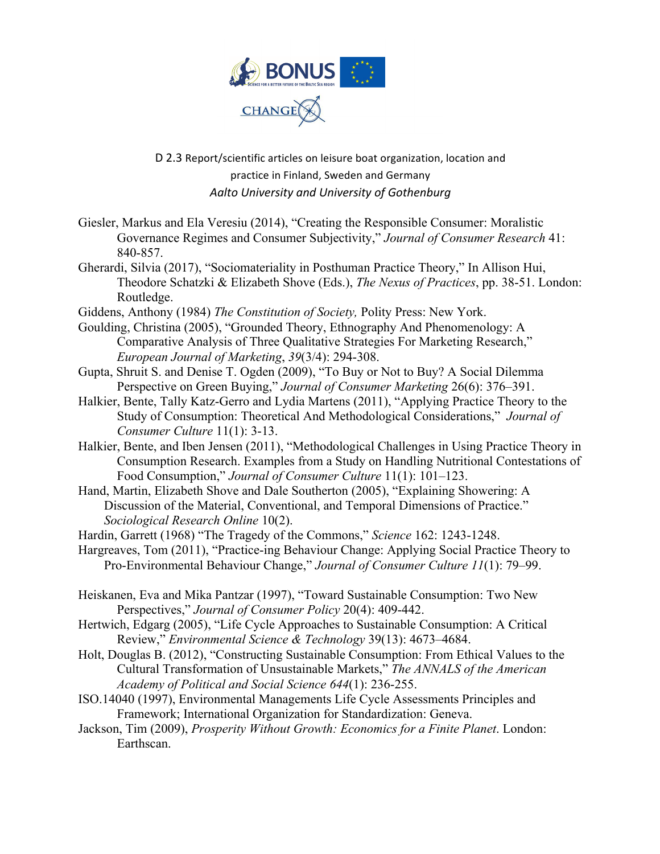

- Giesler, Markus and Ela Veresiu (2014), "Creating the Responsible Consumer: Moralistic Governance Regimes and Consumer Subjectivity," *Journal of Consumer Research* 41: 840-857.
- Gherardi, Silvia (2017), "Sociomateriality in Posthuman Practice Theory," In Allison Hui, Theodore Schatzki & Elizabeth Shove (Eds.), *The Nexus of Practices*, pp. 38-51. London: Routledge.
- Giddens, Anthony (1984) *The Constitution of Society,* Polity Press: New York.
- Goulding, Christina (2005), "Grounded Theory, Ethnography And Phenomenology: A Comparative Analysis of Three Qualitative Strategies For Marketing Research," *European Journal of Marketing*, *39*(3/4): 294-308.
- Gupta, Shruit S. and Denise T. Ogden (2009), "To Buy or Not to Buy? A Social Dilemma Perspective on Green Buying," *Journal of Consumer Marketing* 26(6): 376–391.
- Halkier, Bente, Tally Katz-Gerro and Lydia Martens (2011), "Applying Practice Theory to the Study of Consumption: Theoretical And Methodological Considerations," *Journal of Consumer Culture* 11(1): 3-13.
- Halkier, Bente, and Iben Jensen (2011), "Methodological Challenges in Using Practice Theory in Consumption Research. Examples from a Study on Handling Nutritional Contestations of Food Consumption," *Journal of Consumer Culture* 11(1): 101–123.
- Hand, Martin, Elizabeth Shove and Dale Southerton (2005), "Explaining Showering: A Discussion of the Material, Conventional, and Temporal Dimensions of Practice." *Sociological Research Online* 10(2).
- Hardin, Garrett (1968) "The Tragedy of the Commons," *Science* 162: 1243-1248.
- Hargreaves, Tom (2011), "Practice-ing Behaviour Change: Applying Social Practice Theory to Pro-Environmental Behaviour Change," *Journal of Consumer Culture 11*(1): 79–99.
- Heiskanen, Eva and Mika Pantzar (1997), "Toward Sustainable Consumption: Two New Perspectives," *Journal of Consumer Policy* 20(4): 409-442.
- Hertwich, Edgarg (2005), "Life Cycle Approaches to Sustainable Consumption: A Critical Review," *Environmental Science & Technology* 39(13): 4673–4684.
- Holt, Douglas B. (2012), "Constructing Sustainable Consumption: From Ethical Values to the Cultural Transformation of Unsustainable Markets," *The ANNALS of the American Academy of Political and Social Science 644*(1): 236-255.
- ISO.14040 (1997), Environmental Managements Life Cycle Assessments Principles and Framework; International Organization for Standardization: Geneva.
- Jackson, Tim (2009), *Prosperity Without Growth: Economics for a Finite Planet*. London: Earthscan.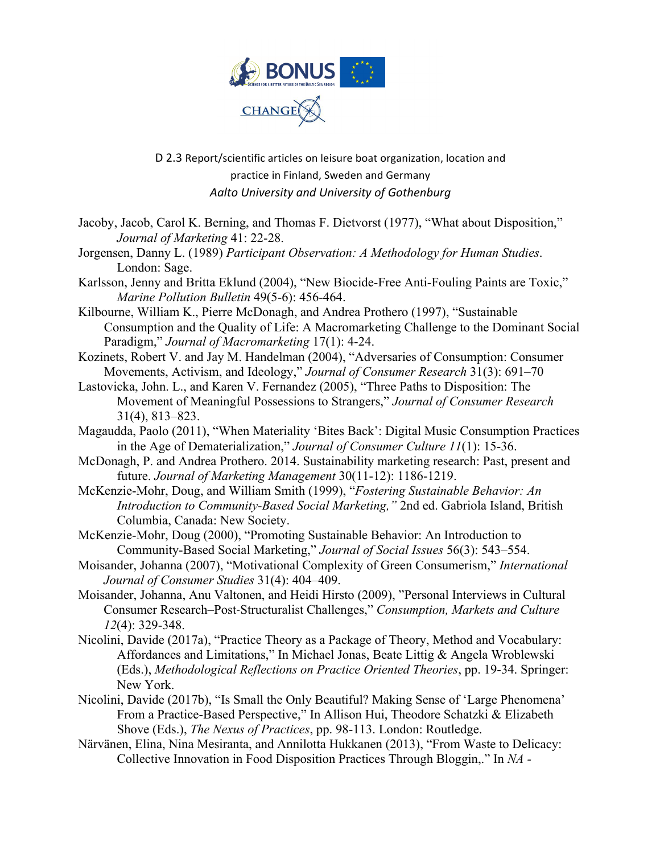

- Jacoby, Jacob, Carol K. Berning, and Thomas F. Dietvorst (1977), "What about Disposition," *Journal of Marketing* 41: 22-28.
- Jorgensen, Danny L. (1989) *Participant Observation: A Methodology for Human Studies*. London: Sage.
- Karlsson, Jenny and Britta Eklund (2004), "New Biocide-Free Anti-Fouling Paints are Toxic," *Marine Pollution Bulletin* 49(5-6): 456-464.
- Kilbourne, William K., Pierre McDonagh, and Andrea Prothero (1997), "Sustainable Consumption and the Quality of Life: A Macromarketing Challenge to the Dominant Social Paradigm," *Journal of Macromarketing* 17(1): 4-24.
- Kozinets, Robert V. and Jay M. Handelman (2004), "Adversaries of Consumption: Consumer Movements, Activism, and Ideology," *Journal of Consumer Research* 31(3): 691–70
- Lastovicka, John. L., and Karen V. Fernandez (2005), "Three Paths to Disposition: The Movement of Meaningful Possessions to Strangers," *Journal of Consumer Research* 31(4), 813–823.
- Magaudda, Paolo (2011), "When Materiality 'Bites Back': Digital Music Consumption Practices in the Age of Dematerialization," *Journal of Consumer Culture 11*(1): 15-36.
- McDonagh, P. and Andrea Prothero. 2014. Sustainability marketing research: Past, present and future. *Journal of Marketing Management* 30(11-12): 1186-1219.
- McKenzie-Mohr, Doug, and William Smith (1999), "*Fostering Sustainable Behavior: An Introduction to Community-Based Social Marketing,"* 2nd ed. Gabriola Island, British Columbia, Canada: New Society.
- McKenzie-Mohr, Doug (2000), "Promoting Sustainable Behavior: An Introduction to Community-Based Social Marketing," *Journal of Social Issues* 56(3): 543–554.
- Moisander, Johanna (2007), "Motivational Complexity of Green Consumerism," *International Journal of Consumer Studies* 31(4): 404–409.
- Moisander, Johanna, Anu Valtonen, and Heidi Hirsto (2009), "Personal Interviews in Cultural Consumer Research–Post-Structuralist Challenges," *Consumption, Markets and Culture 12*(4): 329-348.
- Nicolini, Davide (2017a), "Practice Theory as a Package of Theory, Method and Vocabulary: Affordances and Limitations," In Michael Jonas, Beate Littig & Angela Wroblewski (Eds.), *Methodological Reflections on Practice Oriented Theories*, pp. 19-34. Springer: New York.
- Nicolini, Davide (2017b), "Is Small the Only Beautiful? Making Sense of 'Large Phenomena' From a Practice-Based Perspective," In Allison Hui, Theodore Schatzki & Elizabeth Shove (Eds.), *The Nexus of Practices*, pp. 98-113. London: Routledge.
- Närvänen, Elina, Nina Mesiranta, and Annilotta Hukkanen (2013), "From Waste to Delicacy: Collective Innovation in Food Disposition Practices Through Bloggin,." In *NA -*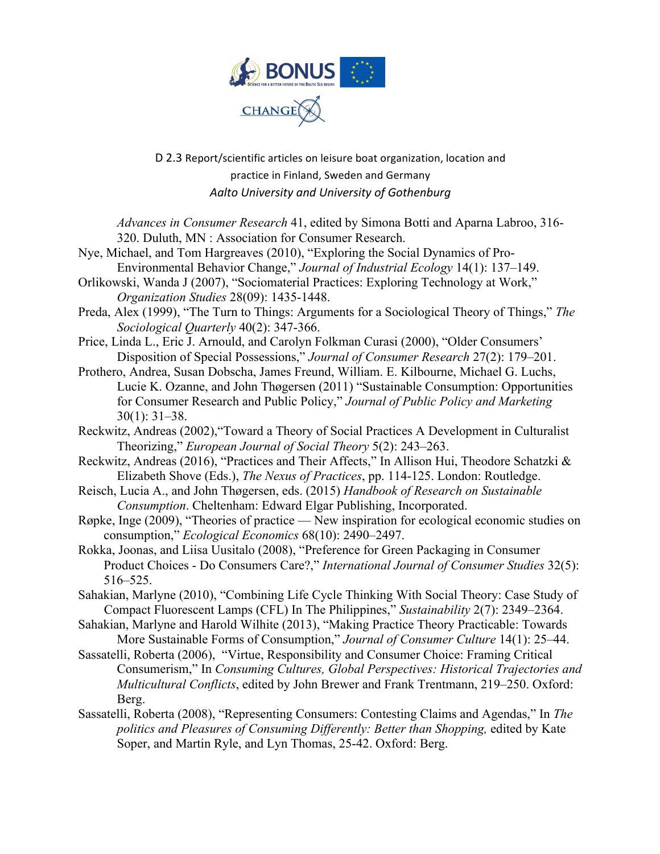

| Advances in Consumer Research 41, edited by Simona Botti and Aparna Labroo, 316-               |
|------------------------------------------------------------------------------------------------|
| 320. Duluth, MN: Association for Consumer Research.                                            |
| Nye, Michael, and Tom Hargreaves (2010), "Exploring the Social Dynamics of Pro-                |
| Environmental Behavior Change," Journal of Industrial Ecology 14(1): 137–149.                  |
| Orlikowski, Wanda J (2007), "Sociomaterial Practices: Exploring Technology at Work,"           |
| Organization Studies 28(09): 1435-1448.                                                        |
| Preda, Alex (1999), "The Turn to Things: Arguments for a Sociological Theory of Things," The   |
| Sociological Quarterly 40(2): 347-366.                                                         |
| Price, Linda L., Eric J. Arnould, and Carolyn Folkman Curasi (2000), "Older Consumers'         |
| Disposition of Special Possessions," Journal of Consumer Research 27(2): 179-201.              |
| Prothero, Andrea, Susan Dobscha, James Freund, William. E. Kilbourne, Michael G. Luchs,        |
| Lucie K. Ozanne, and John Thøgersen (2011) "Sustainable Consumption: Opportunities             |
| for Consumer Research and Public Policy," Journal of Public Policy and Marketing               |
| $30(1)$ : $31-38$ .                                                                            |
| Reckwitz, Andreas (2002), "Toward a Theory of Social Practices A Development in Culturalist    |
| Theorizing," European Journal of Social Theory 5(2): 243–263.                                  |
| Reckwitz, Andreas (2016), "Practices and Their Affects," In Allison Hui, Theodore Schatzki &   |
| Elizabeth Shove (Eds.), The Nexus of Practices, pp. 114-125. London: Routledge.                |
| Reisch, Lucia A., and John Thøgersen, eds. (2015) Handbook of Research on Sustainable          |
| Consumption. Cheltenham: Edward Elgar Publishing, Incorporated.                                |
| Røpke, Inge (2009), "Theories of practice — New inspiration for ecological economic studies on |
| consumption," Ecological Economics 68(10): 2490-2497.                                          |
| Rokka, Joonas, and Liisa Uusitalo (2008), "Preference for Green Packaging in Consumer          |
| Product Choices - Do Consumers Care?," International Journal of Consumer Studies 32(5):        |
| 516-525.                                                                                       |
| Sahakian, Marlyne (2010), "Combining Life Cycle Thinking With Social Theory: Case Study of     |
| Compact Fluorescent Lamps (CFL) In The Philippines," Sustainability 2(7): 2349-2364.           |
| Sahakian, Marlyne and Harold Wilhite (2013), "Making Practice Theory Practicable: Towards      |
| More Sustainable Forms of Consumption," Journal of Consumer Culture 14(1): 25-44.              |
| Sassatelli, Roberta (2006), "Virtue, Responsibility and Consumer Choice: Framing Critical      |
| Consumerism," In Consuming Cultures, Global Perspectives: Historical Trajectories and          |
| Multicultural Conflicts, edited by John Brewer and Frank Trentmann, 219–250. Oxford:           |
| Berg.                                                                                          |

Sassatelli, Roberta (2008), "Representing Consumers: Contesting Claims and Agendas," In *The politics and Pleasures of Consuming Differently: Better than Shopping,* edited by Kate Soper, and Martin Ryle, and Lyn Thomas, 25-42. Oxford: Berg.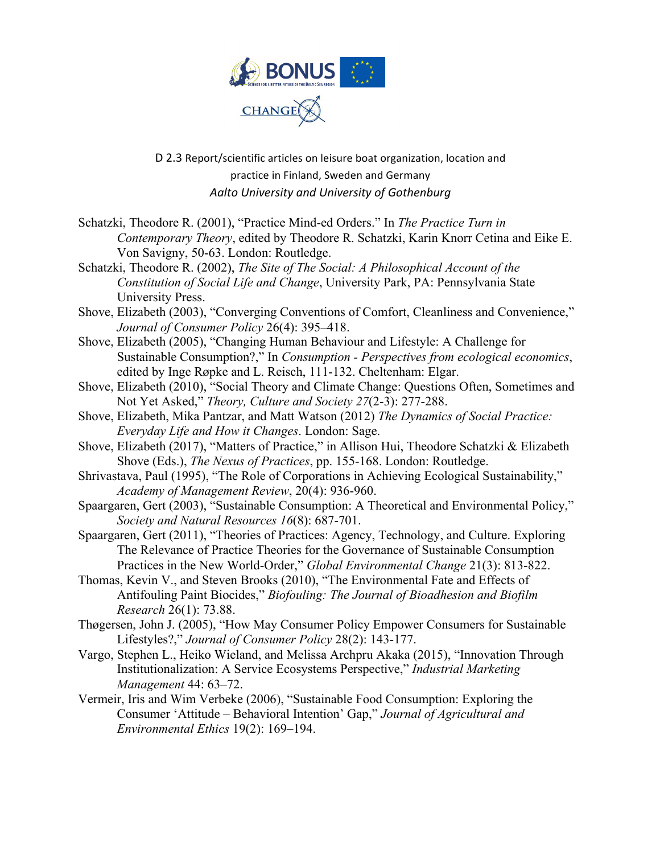

- Schatzki, Theodore R. (2001), "Practice Mind-ed Orders." In *The Practice Turn in Contemporary Theory*, edited by Theodore R. Schatzki, Karin Knorr Cetina and Eike E. Von Savigny, 50-63. London: Routledge.
- Schatzki, Theodore R. (2002), *The Site of The Social: A Philosophical Account of the Constitution of Social Life and Change*, University Park, PA: Pennsylvania State University Press.
- Shove, Elizabeth (2003), "Converging Conventions of Comfort, Cleanliness and Convenience," *Journal of Consumer Policy* 26(4): 395–418.
- Shove, Elizabeth (2005), "Changing Human Behaviour and Lifestyle: A Challenge for Sustainable Consumption?," In *Consumption - Perspectives from ecological economics*, edited by Inge Røpke and L. Reisch, 111-132. Cheltenham: Elgar.
- Shove, Elizabeth (2010), "Social Theory and Climate Change: Questions Often, Sometimes and Not Yet Asked," *Theory, Culture and Society 27*(2-3): 277-288.
- Shove, Elizabeth, Mika Pantzar, and Matt Watson (2012) *The Dynamics of Social Practice: Everyday Life and How it Changes*. London: Sage.
- Shove, Elizabeth (2017), "Matters of Practice," in Allison Hui, Theodore Schatzki & Elizabeth Shove (Eds.), *The Nexus of Practices*, pp. 155-168. London: Routledge.
- Shrivastava, Paul (1995), "The Role of Corporations in Achieving Ecological Sustainability," *Academy of Management Review*, 20(4): 936-960.
- Spaargaren, Gert (2003), "Sustainable Consumption: A Theoretical and Environmental Policy," *Society and Natural Resources 16*(8): 687-701.
- Spaargaren, Gert (2011), "Theories of Practices: Agency, Technology, and Culture. Exploring The Relevance of Practice Theories for the Governance of Sustainable Consumption Practices in the New World-Order," *Global Environmental Change* 21(3): 813-822.
- Thomas, Kevin V., and Steven Brooks (2010), "The Environmental Fate and Effects of Antifouling Paint Biocides," *Biofouling: The Journal of Bioadhesion and Biofilm Research* 26(1): 73.88.
- Thøgersen, John J. (2005), "How May Consumer Policy Empower Consumers for Sustainable Lifestyles?," *Journal of Consumer Policy* 28(2): 143-177.
- Vargo, Stephen L., Heiko Wieland, and Melissa Archpru Akaka (2015), "Innovation Through Institutionalization: A Service Ecosystems Perspective," *Industrial Marketing Management* 44: 63–72.
- Vermeir, Iris and Wim Verbeke (2006), "Sustainable Food Consumption: Exploring the Consumer 'Attitude – Behavioral Intention' Gap," *Journal of Agricultural and Environmental Ethics* 19(2): 169–194.